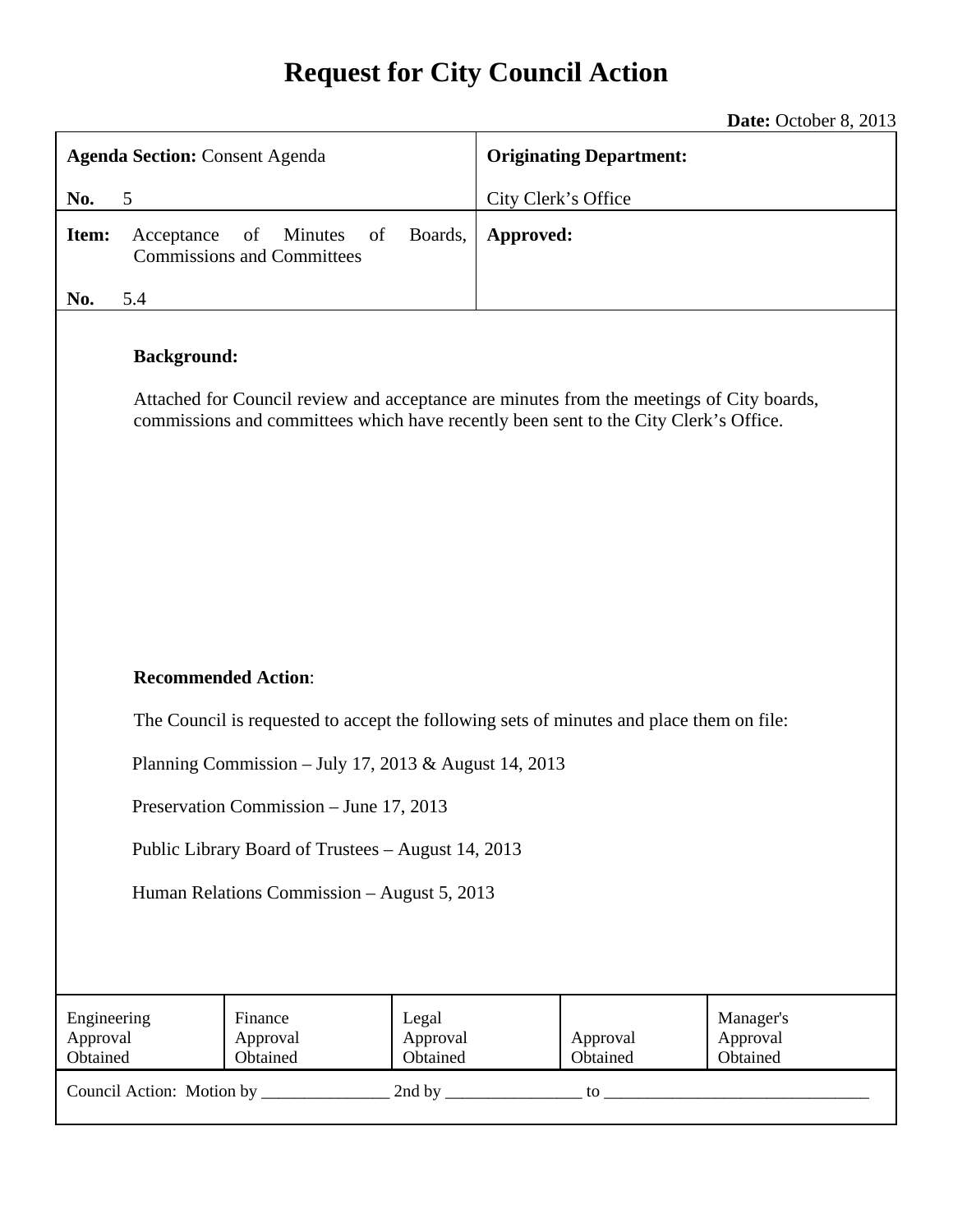# **Request for City Council Action**

**Date:** October 8, 2013

| <b>Agenda Section: Consent Agenda</b>                                                                                                                                                                  |                                                          | <b>Originating Department:</b> |           |                      |                                   |
|--------------------------------------------------------------------------------------------------------------------------------------------------------------------------------------------------------|----------------------------------------------------------|--------------------------------|-----------|----------------------|-----------------------------------|
| 5<br>No.                                                                                                                                                                                               |                                                          | City Clerk's Office            |           |                      |                                   |
| Item:<br>Acceptance                                                                                                                                                                                    | of<br>Minutes<br>of<br><b>Commissions and Committees</b> | Boards,                        | Approved: |                      |                                   |
| 5.4<br>No.                                                                                                                                                                                             |                                                          |                                |           |                      |                                   |
| <b>Background:</b><br>Attached for Council review and acceptance are minutes from the meetings of City boards,<br>commissions and committees which have recently been sent to the City Clerk's Office. |                                                          |                                |           |                      |                                   |
| <b>Recommended Action:</b>                                                                                                                                                                             |                                                          |                                |           |                      |                                   |
| The Council is requested to accept the following sets of minutes and place them on file:                                                                                                               |                                                          |                                |           |                      |                                   |
| Planning Commission - July 17, 2013 & August 14, 2013                                                                                                                                                  |                                                          |                                |           |                      |                                   |
| Preservation Commission - June 17, 2013                                                                                                                                                                |                                                          |                                |           |                      |                                   |
| Public Library Board of Trustees - August 14, 2013                                                                                                                                                     |                                                          |                                |           |                      |                                   |
| Human Relations Commission - August 5, 2013                                                                                                                                                            |                                                          |                                |           |                      |                                   |
|                                                                                                                                                                                                        |                                                          |                                |           |                      |                                   |
| Engineering<br>Approval<br>Obtained                                                                                                                                                                    | Finance<br>Approval<br>Obtained                          | Legal<br>Approval<br>Obtained  |           | Approval<br>Obtained | Manager's<br>Approval<br>Obtained |
|                                                                                                                                                                                                        |                                                          |                                |           |                      |                                   |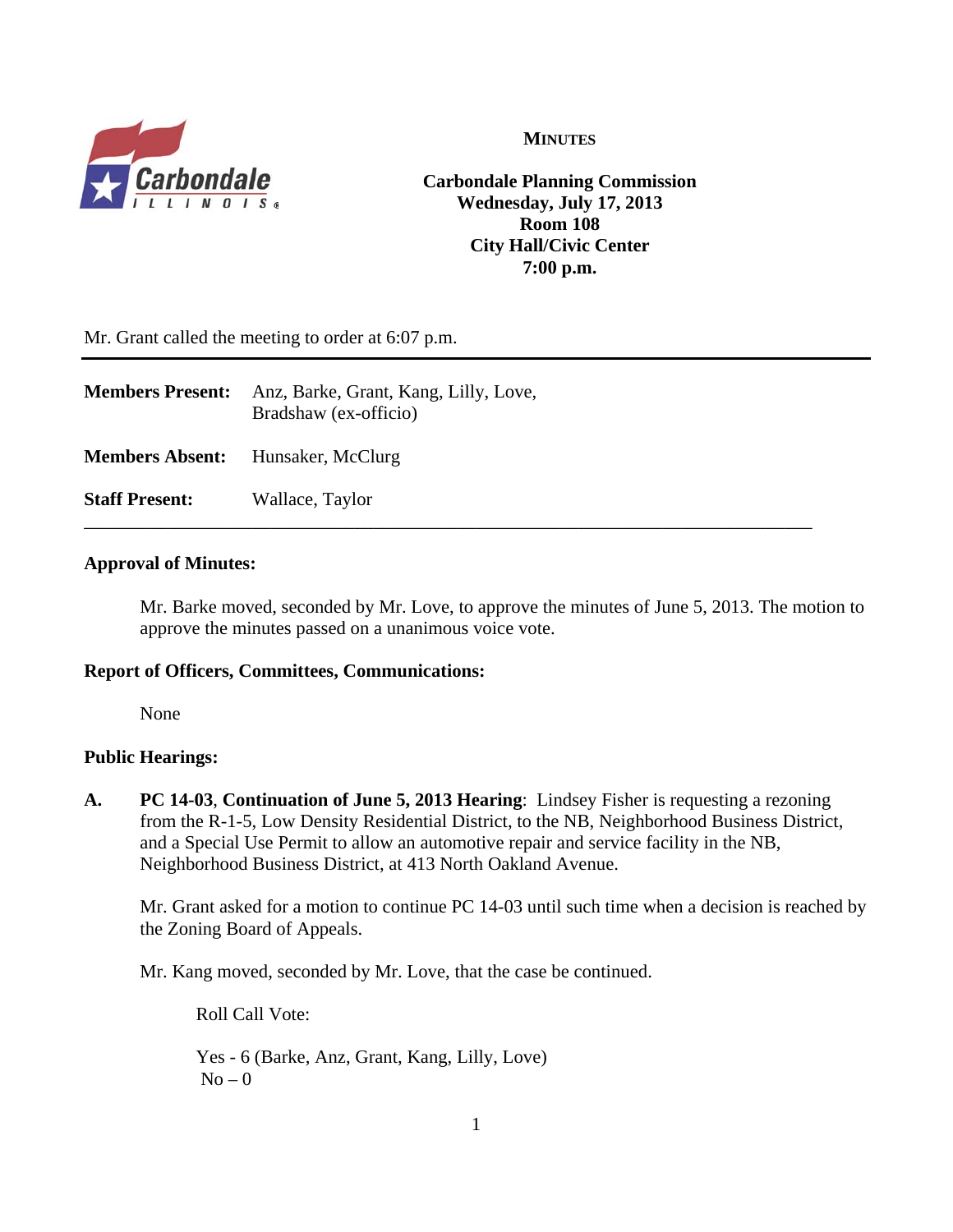

#### **MINUTES**

**Carbondale Planning Commission Wednesday, July 17, 2013 Room 108 City Hall/Civic Center 7:00 p.m.**

Mr. Grant called the meeting to order at 6:07 p.m.

| <b>Members Present:</b>                  | Anz, Barke, Grant, Kang, Lilly, Love,<br>Bradshaw (ex-officio) |
|------------------------------------------|----------------------------------------------------------------|
| <b>Members Absent:</b> Hunsaker, McClurg |                                                                |
| <b>Staff Present:</b>                    | Wallace, Taylor                                                |

#### **Approval of Minutes:**

Mr. Barke moved, seconded by Mr. Love, to approve the minutes of June 5, 2013. The motion to approve the minutes passed on a unanimous voice vote.

#### **Report of Officers, Committees, Communications:**

None

#### **Public Hearings:**

**A. PC 14-03**, **Continuation of June 5, 2013 Hearing**: Lindsey Fisher is requesting a rezoning from the R-1-5, Low Density Residential District, to the NB, Neighborhood Business District, and a Special Use Permit to allow an automotive repair and service facility in the NB, Neighborhood Business District, at 413 North Oakland Avenue.

Mr. Grant asked for a motion to continue PC 14-03 until such time when a decision is reached by the Zoning Board of Appeals.

Mr. Kang moved, seconded by Mr. Love, that the case be continued.

Roll Call Vote:

Yes - 6 (Barke, Anz, Grant, Kang, Lilly, Love)  $No - 0$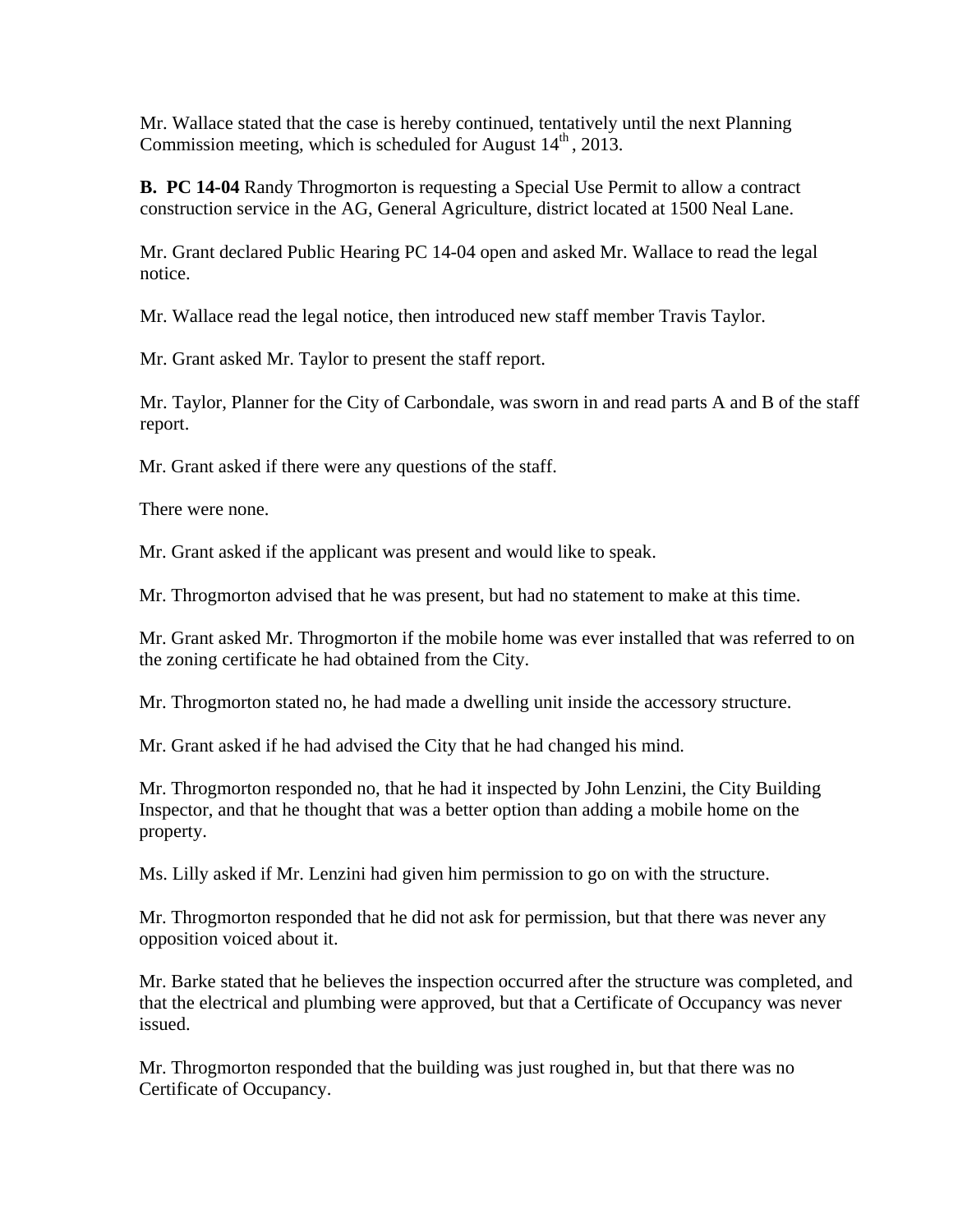Mr. Wallace stated that the case is hereby continued, tentatively until the next Planning Commission meeting, which is scheduled for August  $14<sup>th</sup>$ , 2013.

**B. PC 14-04** Randy Throgmorton is requesting a Special Use Permit to allow a contract construction service in the AG, General Agriculture, district located at 1500 Neal Lane.

Mr. Grant declared Public Hearing PC 14-04 open and asked Mr. Wallace to read the legal notice.

Mr. Wallace read the legal notice, then introduced new staff member Travis Taylor.

Mr. Grant asked Mr. Taylor to present the staff report.

Mr. Taylor, Planner for the City of Carbondale, was sworn in and read parts A and B of the staff report.

Mr. Grant asked if there were any questions of the staff.

There were none.

Mr. Grant asked if the applicant was present and would like to speak.

Mr. Throgmorton advised that he was present, but had no statement to make at this time.

Mr. Grant asked Mr. Throgmorton if the mobile home was ever installed that was referred to on the zoning certificate he had obtained from the City.

Mr. Throgmorton stated no, he had made a dwelling unit inside the accessory structure.

Mr. Grant asked if he had advised the City that he had changed his mind.

Mr. Throgmorton responded no, that he had it inspected by John Lenzini, the City Building Inspector, and that he thought that was a better option than adding a mobile home on the property.

Ms. Lilly asked if Mr. Lenzini had given him permission to go on with the structure.

Mr. Throgmorton responded that he did not ask for permission, but that there was never any opposition voiced about it.

Mr. Barke stated that he believes the inspection occurred after the structure was completed, and that the electrical and plumbing were approved, but that a Certificate of Occupancy was never issued.

Mr. Throgmorton responded that the building was just roughed in, but that there was no Certificate of Occupancy.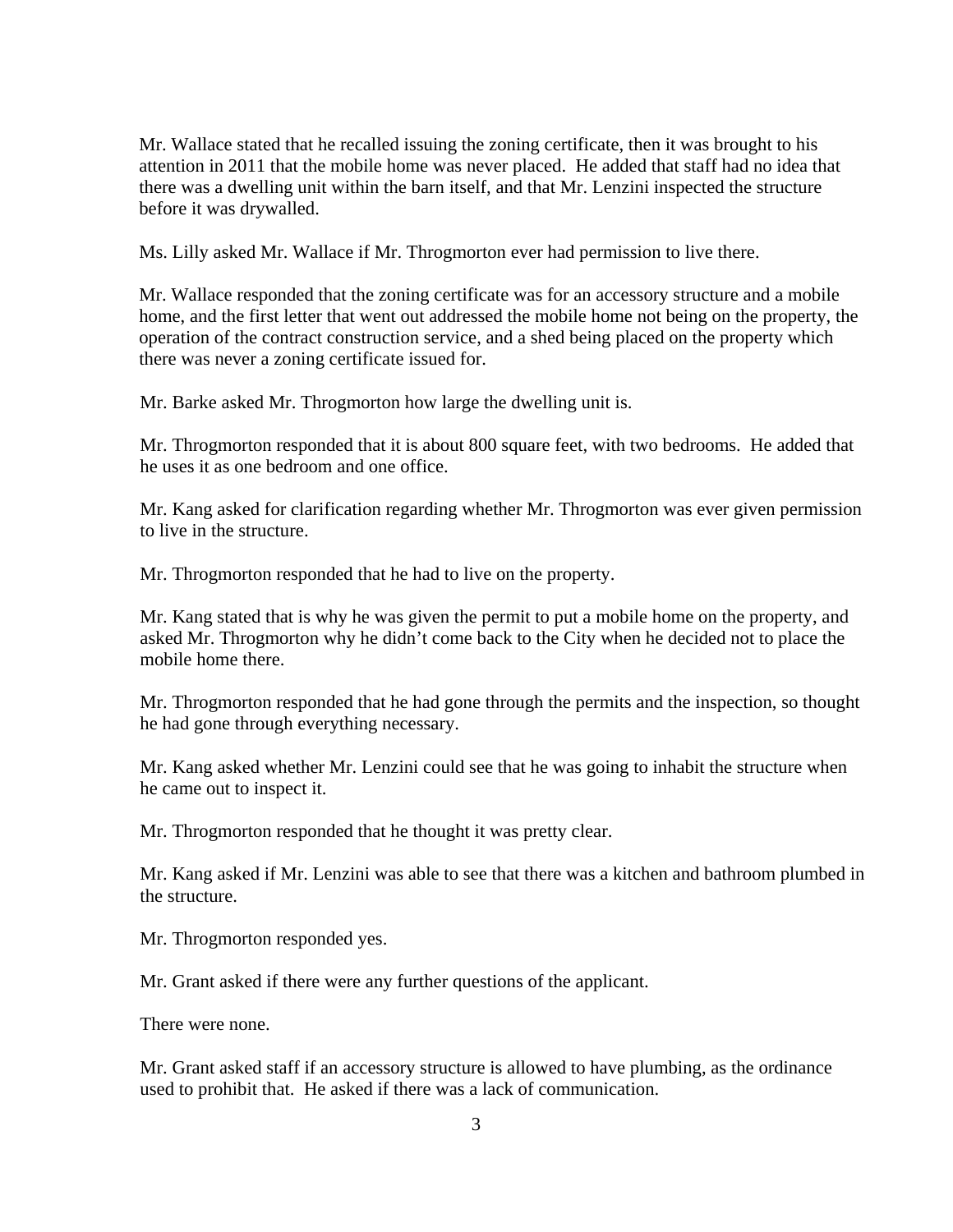Mr. Wallace stated that he recalled issuing the zoning certificate, then it was brought to his attention in 2011 that the mobile home was never placed. He added that staff had no idea that there was a dwelling unit within the barn itself, and that Mr. Lenzini inspected the structure before it was drywalled.

Ms. Lilly asked Mr. Wallace if Mr. Throgmorton ever had permission to live there.

Mr. Wallace responded that the zoning certificate was for an accessory structure and a mobile home, and the first letter that went out addressed the mobile home not being on the property, the operation of the contract construction service, and a shed being placed on the property which there was never a zoning certificate issued for.

Mr. Barke asked Mr. Throgmorton how large the dwelling unit is.

Mr. Throgmorton responded that it is about 800 square feet, with two bedrooms. He added that he uses it as one bedroom and one office.

Mr. Kang asked for clarification regarding whether Mr. Throgmorton was ever given permission to live in the structure.

Mr. Throgmorton responded that he had to live on the property.

Mr. Kang stated that is why he was given the permit to put a mobile home on the property, and asked Mr. Throgmorton why he didn't come back to the City when he decided not to place the mobile home there.

Mr. Throgmorton responded that he had gone through the permits and the inspection, so thought he had gone through everything necessary.

Mr. Kang asked whether Mr. Lenzini could see that he was going to inhabit the structure when he came out to inspect it.

Mr. Throgmorton responded that he thought it was pretty clear.

Mr. Kang asked if Mr. Lenzini was able to see that there was a kitchen and bathroom plumbed in the structure.

Mr. Throgmorton responded yes.

Mr. Grant asked if there were any further questions of the applicant.

There were none.

Mr. Grant asked staff if an accessory structure is allowed to have plumbing, as the ordinance used to prohibit that. He asked if there was a lack of communication.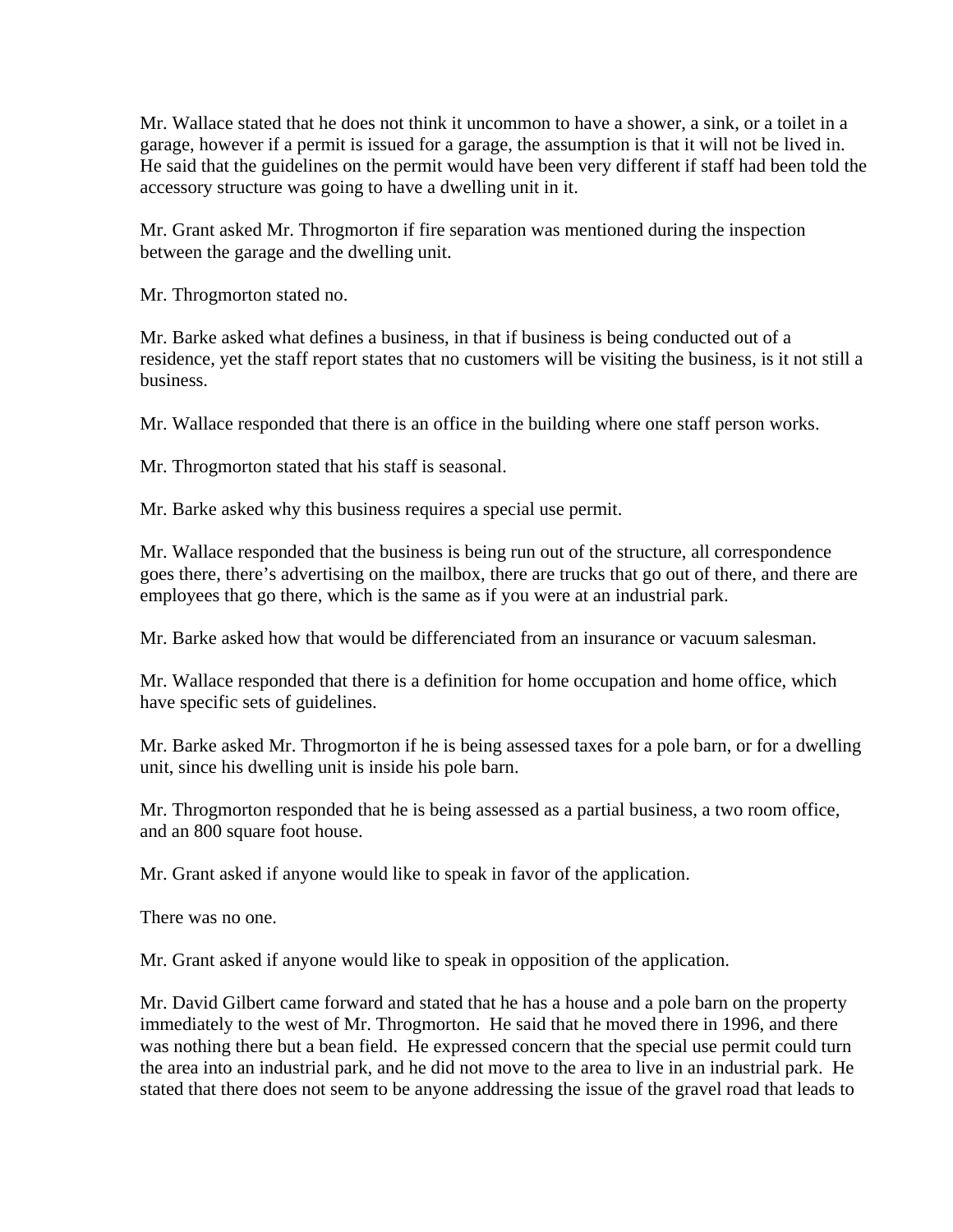Mr. Wallace stated that he does not think it uncommon to have a shower, a sink, or a toilet in a garage, however if a permit is issued for a garage, the assumption is that it will not be lived in. He said that the guidelines on the permit would have been very different if staff had been told the accessory structure was going to have a dwelling unit in it.

Mr. Grant asked Mr. Throgmorton if fire separation was mentioned during the inspection between the garage and the dwelling unit.

Mr. Throgmorton stated no.

Mr. Barke asked what defines a business, in that if business is being conducted out of a residence, yet the staff report states that no customers will be visiting the business, is it not still a business.

Mr. Wallace responded that there is an office in the building where one staff person works.

Mr. Throgmorton stated that his staff is seasonal.

Mr. Barke asked why this business requires a special use permit.

Mr. Wallace responded that the business is being run out of the structure, all correspondence goes there, there's advertising on the mailbox, there are trucks that go out of there, and there are employees that go there, which is the same as if you were at an industrial park.

Mr. Barke asked how that would be differenciated from an insurance or vacuum salesman.

Mr. Wallace responded that there is a definition for home occupation and home office, which have specific sets of guidelines.

Mr. Barke asked Mr. Throgmorton if he is being assessed taxes for a pole barn, or for a dwelling unit, since his dwelling unit is inside his pole barn.

Mr. Throgmorton responded that he is being assessed as a partial business, a two room office, and an 800 square foot house.

Mr. Grant asked if anyone would like to speak in favor of the application.

There was no one.

Mr. Grant asked if anyone would like to speak in opposition of the application.

Mr. David Gilbert came forward and stated that he has a house and a pole barn on the property immediately to the west of Mr. Throgmorton. He said that he moved there in 1996, and there was nothing there but a bean field. He expressed concern that the special use permit could turn the area into an industrial park, and he did not move to the area to live in an industrial park. He stated that there does not seem to be anyone addressing the issue of the gravel road that leads to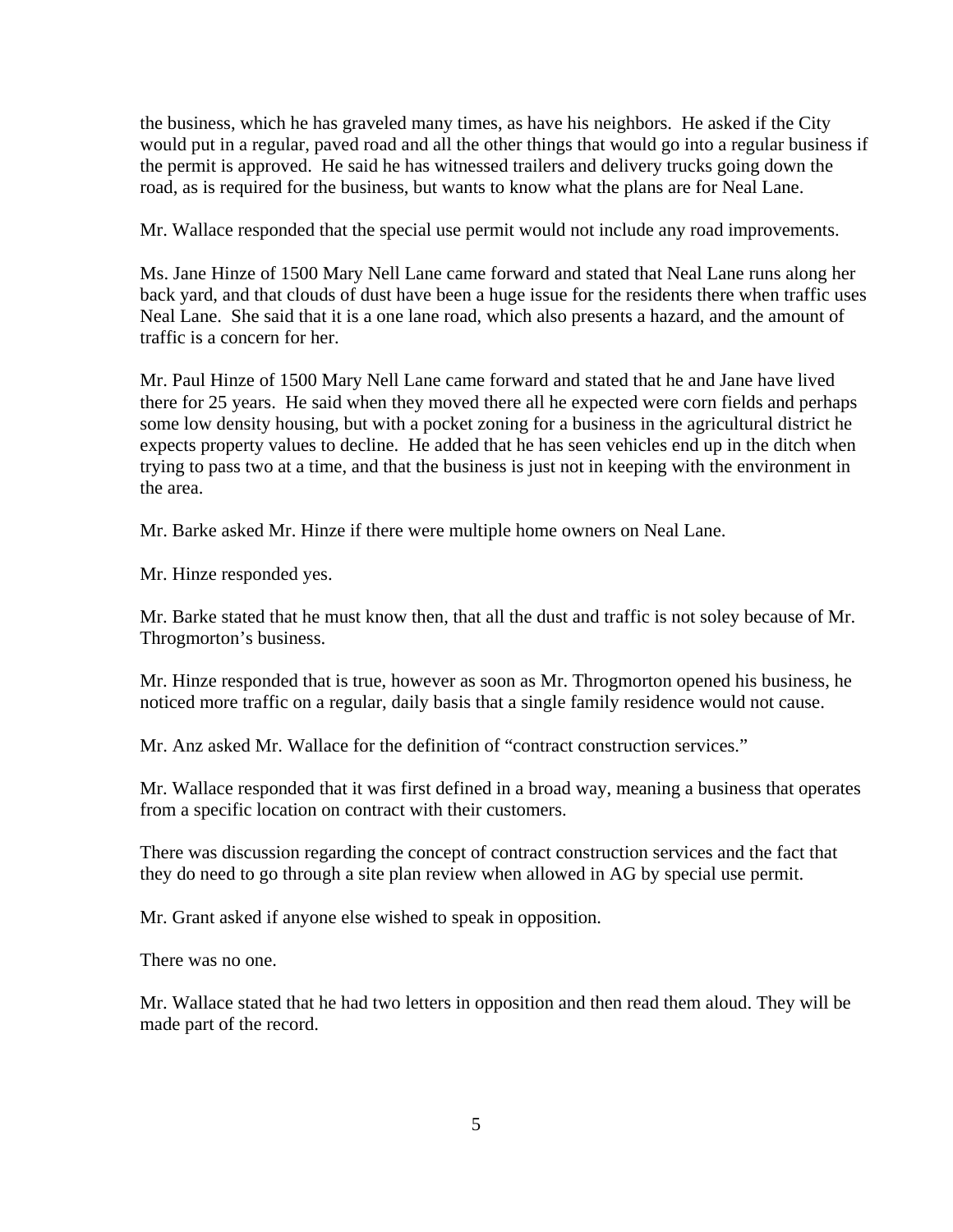the business, which he has graveled many times, as have his neighbors. He asked if the City would put in a regular, paved road and all the other things that would go into a regular business if the permit is approved. He said he has witnessed trailers and delivery trucks going down the road, as is required for the business, but wants to know what the plans are for Neal Lane.

Mr. Wallace responded that the special use permit would not include any road improvements.

Ms. Jane Hinze of 1500 Mary Nell Lane came forward and stated that Neal Lane runs along her back yard, and that clouds of dust have been a huge issue for the residents there when traffic uses Neal Lane. She said that it is a one lane road, which also presents a hazard, and the amount of traffic is a concern for her.

Mr. Paul Hinze of 1500 Mary Nell Lane came forward and stated that he and Jane have lived there for 25 years. He said when they moved there all he expected were corn fields and perhaps some low density housing, but with a pocket zoning for a business in the agricultural district he expects property values to decline. He added that he has seen vehicles end up in the ditch when trying to pass two at a time, and that the business is just not in keeping with the environment in the area.

Mr. Barke asked Mr. Hinze if there were multiple home owners on Neal Lane.

Mr. Hinze responded yes.

Mr. Barke stated that he must know then, that all the dust and traffic is not soley because of Mr. Throgmorton's business.

Mr. Hinze responded that is true, however as soon as Mr. Throgmorton opened his business, he noticed more traffic on a regular, daily basis that a single family residence would not cause.

Mr. Anz asked Mr. Wallace for the definition of "contract construction services."

Mr. Wallace responded that it was first defined in a broad way, meaning a business that operates from a specific location on contract with their customers.

There was discussion regarding the concept of contract construction services and the fact that they do need to go through a site plan review when allowed in AG by special use permit.

Mr. Grant asked if anyone else wished to speak in opposition.

There was no one.

Mr. Wallace stated that he had two letters in opposition and then read them aloud. They will be made part of the record.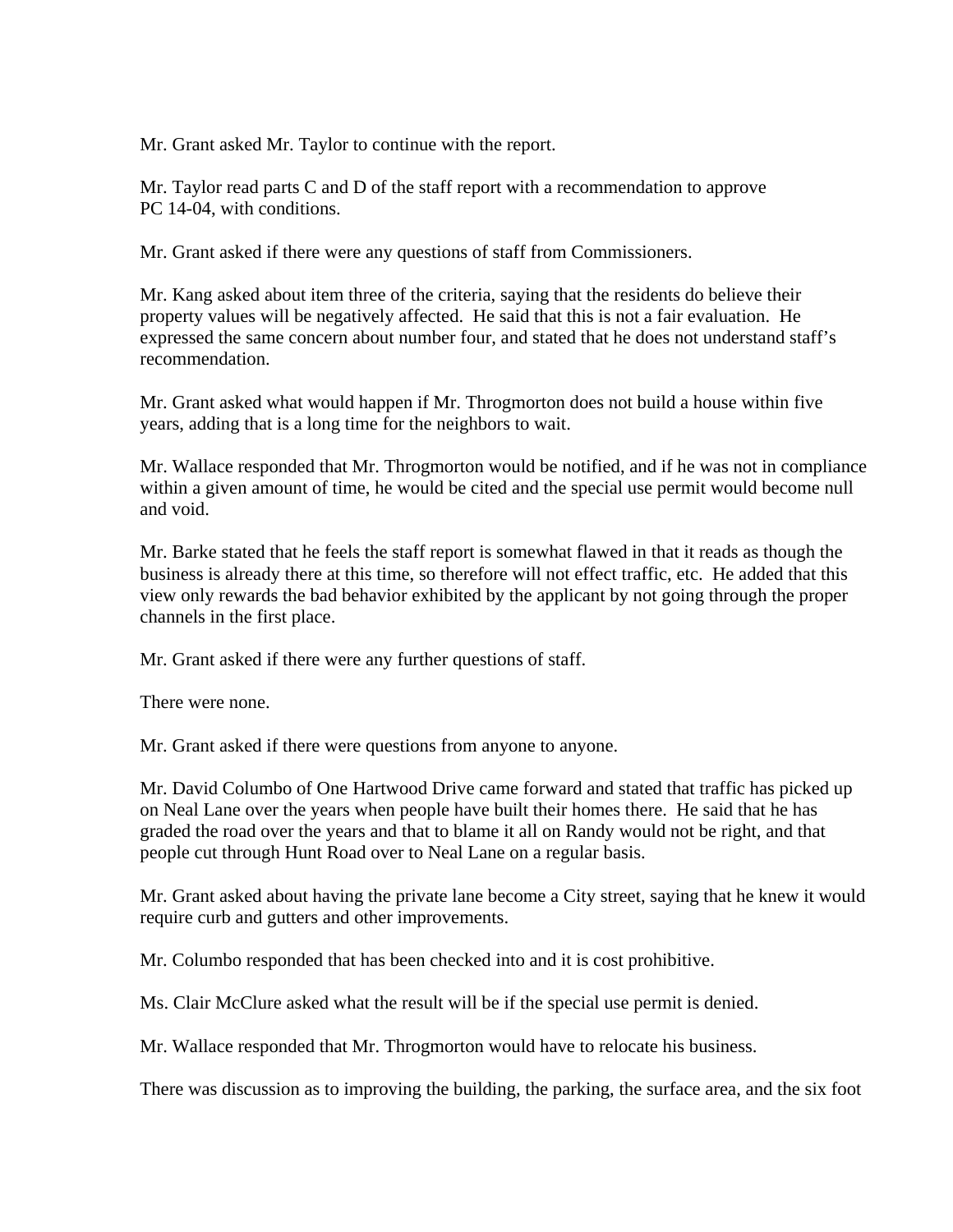Mr. Grant asked Mr. Taylor to continue with the report.

 Mr. Taylor read parts C and D of the staff report with a recommendation to approve PC 14-04, with conditions.

Mr. Grant asked if there were any questions of staff from Commissioners.

Mr. Kang asked about item three of the criteria, saying that the residents do believe their property values will be negatively affected. He said that this is not a fair evaluation. He expressed the same concern about number four, and stated that he does not understand staff's recommendation.

Mr. Grant asked what would happen if Mr. Throgmorton does not build a house within five years, adding that is a long time for the neighbors to wait.

Mr. Wallace responded that Mr. Throgmorton would be notified, and if he was not in compliance within a given amount of time, he would be cited and the special use permit would become null and void.

Mr. Barke stated that he feels the staff report is somewhat flawed in that it reads as though the business is already there at this time, so therefore will not effect traffic, etc. He added that this view only rewards the bad behavior exhibited by the applicant by not going through the proper channels in the first place.

Mr. Grant asked if there were any further questions of staff.

There were none.

Mr. Grant asked if there were questions from anyone to anyone.

Mr. David Columbo of One Hartwood Drive came forward and stated that traffic has picked up on Neal Lane over the years when people have built their homes there. He said that he has graded the road over the years and that to blame it all on Randy would not be right, and that people cut through Hunt Road over to Neal Lane on a regular basis.

Mr. Grant asked about having the private lane become a City street, saying that he knew it would require curb and gutters and other improvements.

Mr. Columbo responded that has been checked into and it is cost prohibitive.

Ms. Clair McClure asked what the result will be if the special use permit is denied.

Mr. Wallace responded that Mr. Throgmorton would have to relocate his business.

There was discussion as to improving the building, the parking, the surface area, and the six foot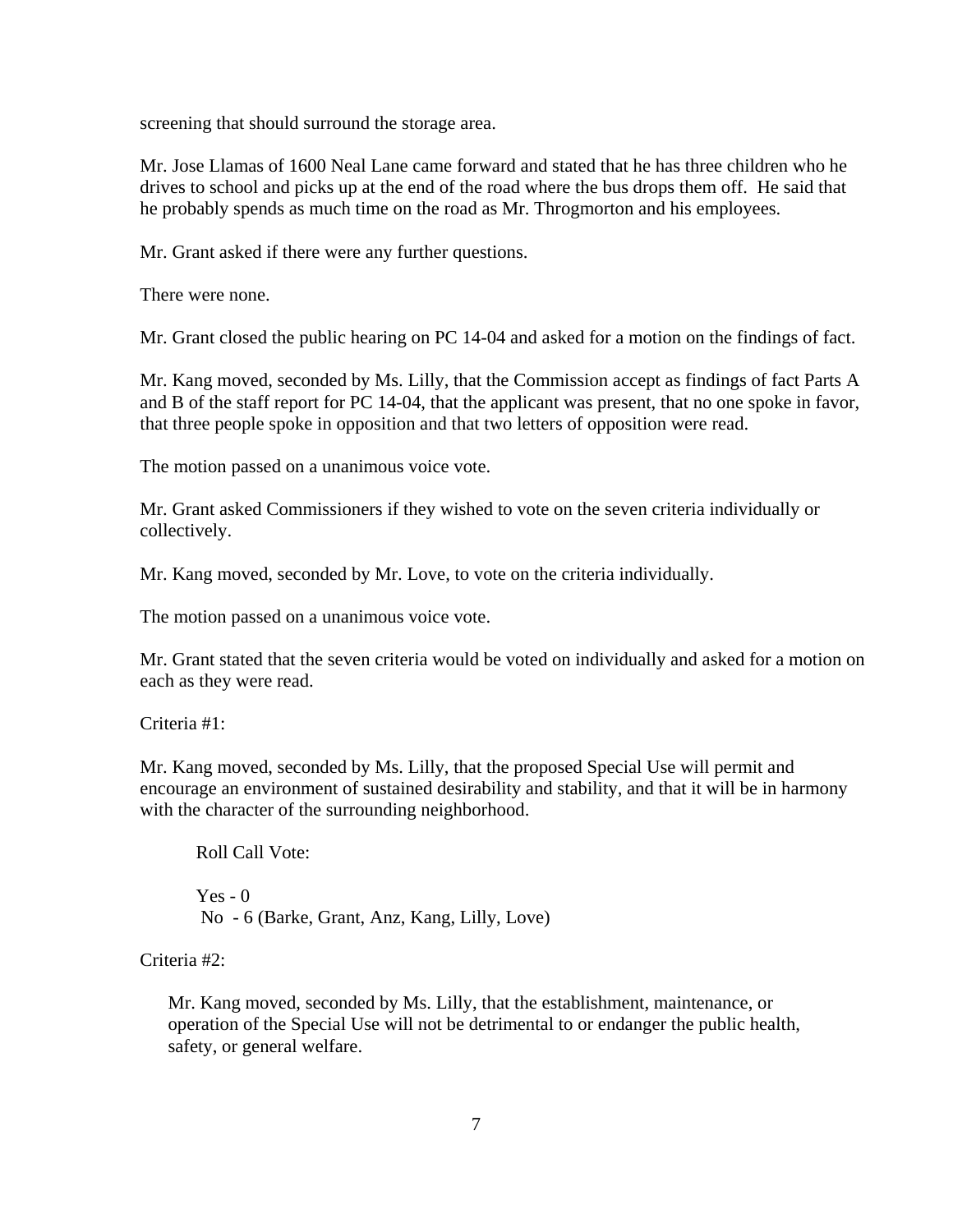screening that should surround the storage area.

Mr. Jose Llamas of 1600 Neal Lane came forward and stated that he has three children who he drives to school and picks up at the end of the road where the bus drops them off. He said that he probably spends as much time on the road as Mr. Throgmorton and his employees.

Mr. Grant asked if there were any further questions.

There were none.

Mr. Grant closed the public hearing on PC 14-04 and asked for a motion on the findings of fact.

Mr. Kang moved, seconded by Ms. Lilly, that the Commission accept as findings of fact Parts A and B of the staff report for PC 14-04, that the applicant was present, that no one spoke in favor, that three people spoke in opposition and that two letters of opposition were read.

The motion passed on a unanimous voice vote.

Mr. Grant asked Commissioners if they wished to vote on the seven criteria individually or collectively.

Mr. Kang moved, seconded by Mr. Love, to vote on the criteria individually.

The motion passed on a unanimous voice vote.

Mr. Grant stated that the seven criteria would be voted on individually and asked for a motion on each as they were read.

Criteria #1:

Mr. Kang moved, seconded by Ms. Lilly, that the proposed Special Use will permit and encourage an environment of sustained desirability and stability, and that it will be in harmony with the character of the surrounding neighborhood.

Roll Call Vote:  $Yes - 0$ No - 6 (Barke, Grant, Anz, Kang, Lilly, Love)

Criteria #2:

Mr. Kang moved, seconded by Ms. Lilly, that the establishment, maintenance, or operation of the Special Use will not be detrimental to or endanger the public health, safety, or general welfare.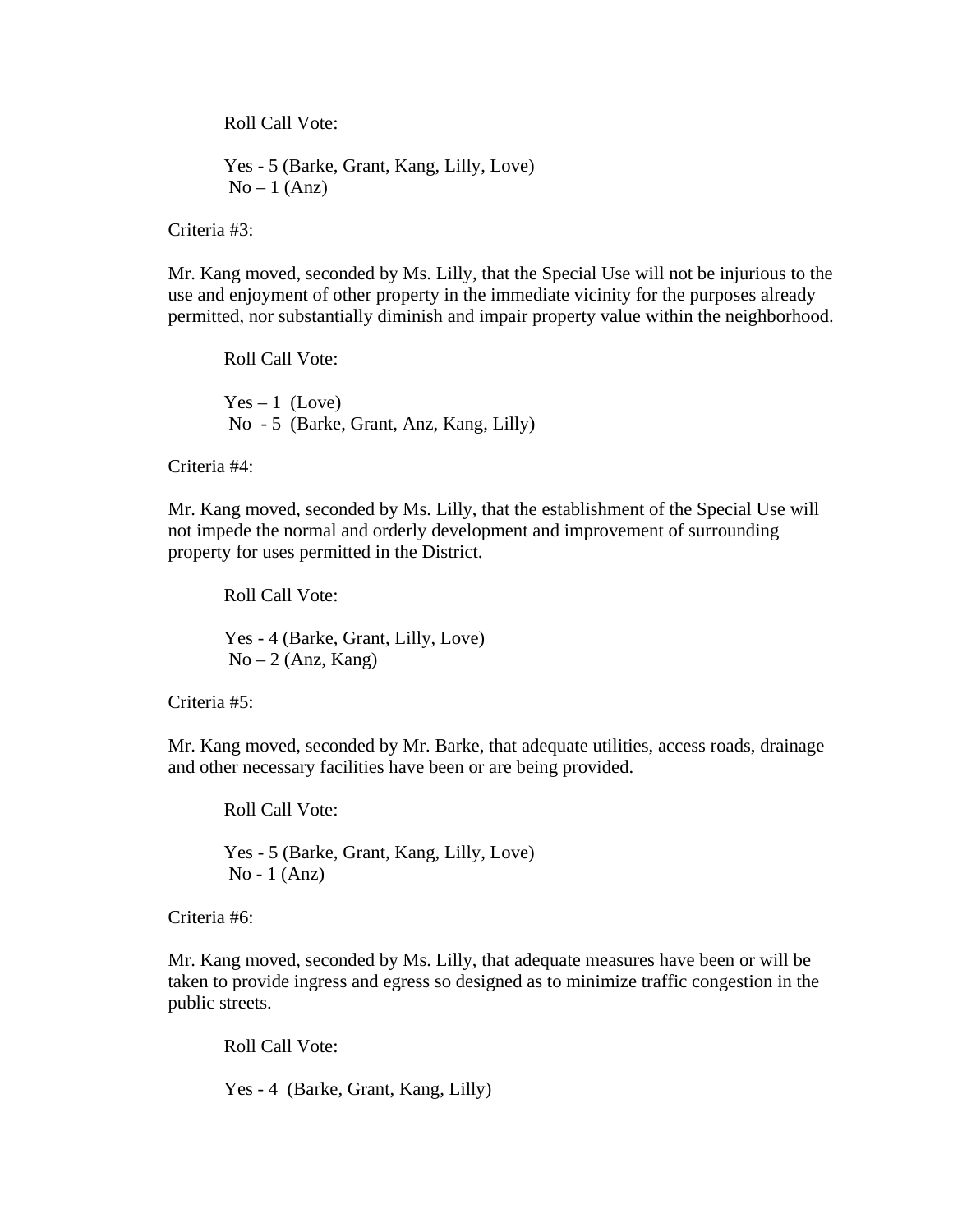Roll Call Vote:

 Yes - 5 (Barke, Grant, Kang, Lilly, Love)  $No-1 (Anz)$ 

Criteria #3:

Mr. Kang moved, seconded by Ms. Lilly, that the Special Use will not be injurious to the use and enjoyment of other property in the immediate vicinity for the purposes already permitted, nor substantially diminish and impair property value within the neighborhood.

Roll Call Vote:  $Yes - 1 (Love)$ No - 5 (Barke, Grant, Anz, Kang, Lilly)

Criteria #4:

Mr. Kang moved, seconded by Ms. Lilly, that the establishment of the Special Use will not impede the normal and orderly development and improvement of surrounding property for uses permitted in the District.

Roll Call Vote:

 Yes - 4 (Barke, Grant, Lilly, Love)  $No-2 (Anz, Kang)$ 

Criteria #5:

Mr. Kang moved, seconded by Mr. Barke, that adequate utilities, access roads, drainage and other necessary facilities have been or are being provided.

Roll Call Vote:

 Yes - 5 (Barke, Grant, Kang, Lilly, Love) No - 1 (Anz)

Criteria #6:

Mr. Kang moved, seconded by Ms. Lilly, that adequate measures have been or will be taken to provide ingress and egress so designed as to minimize traffic congestion in the public streets.

Roll Call Vote:

Yes - 4 (Barke, Grant, Kang, Lilly)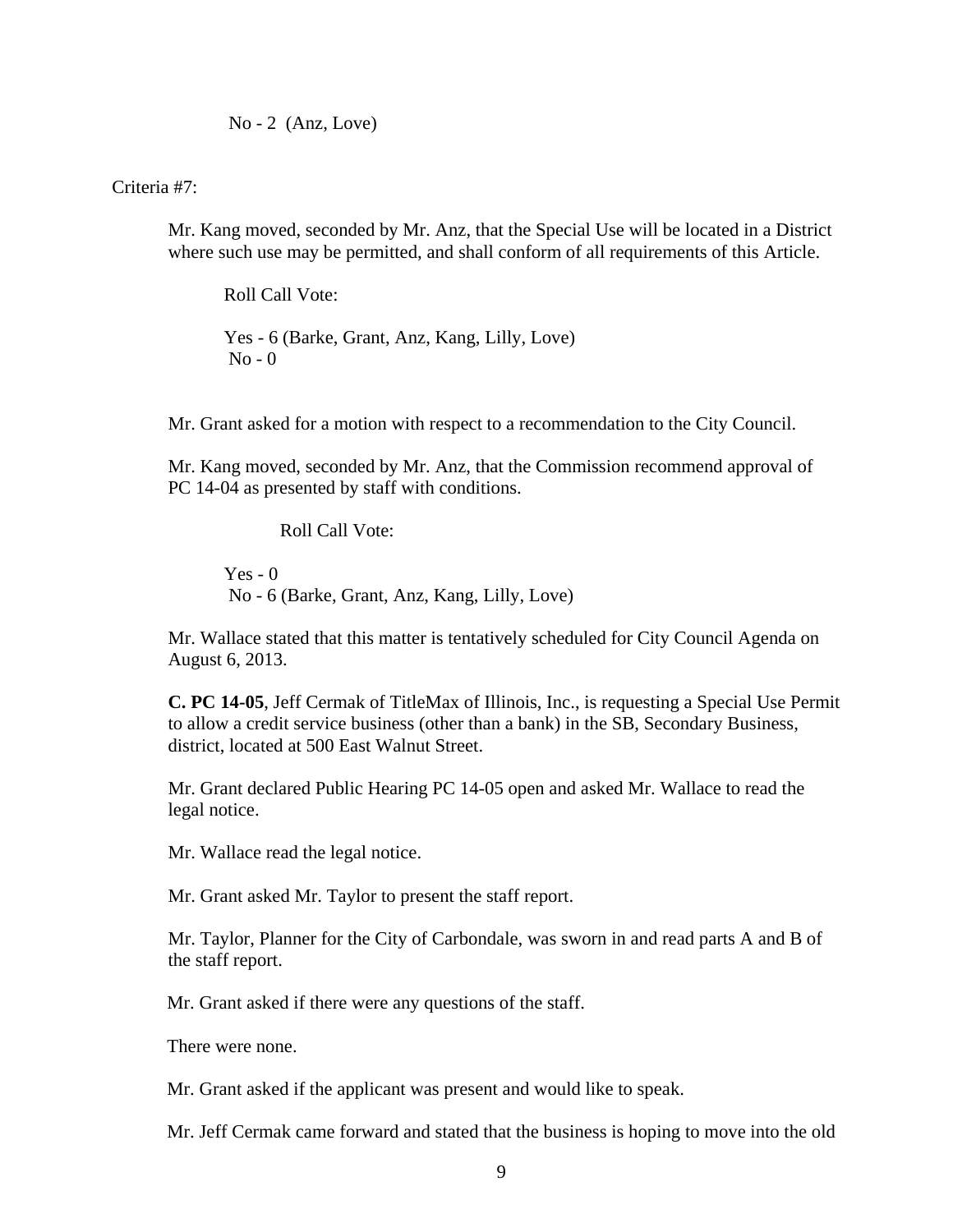No - 2 (Anz, Love)

Criteria #7:

Mr. Kang moved, seconded by Mr. Anz, that the Special Use will be located in a District where such use may be permitted, and shall conform of all requirements of this Article.

Roll Call Vote:

 Yes - 6 (Barke, Grant, Anz, Kang, Lilly, Love)  $No - 0$ 

Mr. Grant asked for a motion with respect to a recommendation to the City Council.

Mr. Kang moved, seconded by Mr. Anz, that the Commission recommend approval of PC 14-04 as presented by staff with conditions.

Roll Call Vote:

 $Yes - 0$ No - 6 (Barke, Grant, Anz, Kang, Lilly, Love)

Mr. Wallace stated that this matter is tentatively scheduled for City Council Agenda on August 6, 2013.

**C. PC 14-05**, Jeff Cermak of TitleMax of Illinois, Inc., is requesting a Special Use Permit to allow a credit service business (other than a bank) in the SB, Secondary Business, district, located at 500 East Walnut Street.

Mr. Grant declared Public Hearing PC 14-05 open and asked Mr. Wallace to read the legal notice.

Mr. Wallace read the legal notice.

Mr. Grant asked Mr. Taylor to present the staff report.

Mr. Taylor, Planner for the City of Carbondale, was sworn in and read parts A and B of the staff report.

Mr. Grant asked if there were any questions of the staff.

There were none.

Mr. Grant asked if the applicant was present and would like to speak.

Mr. Jeff Cermak came forward and stated that the business is hoping to move into the old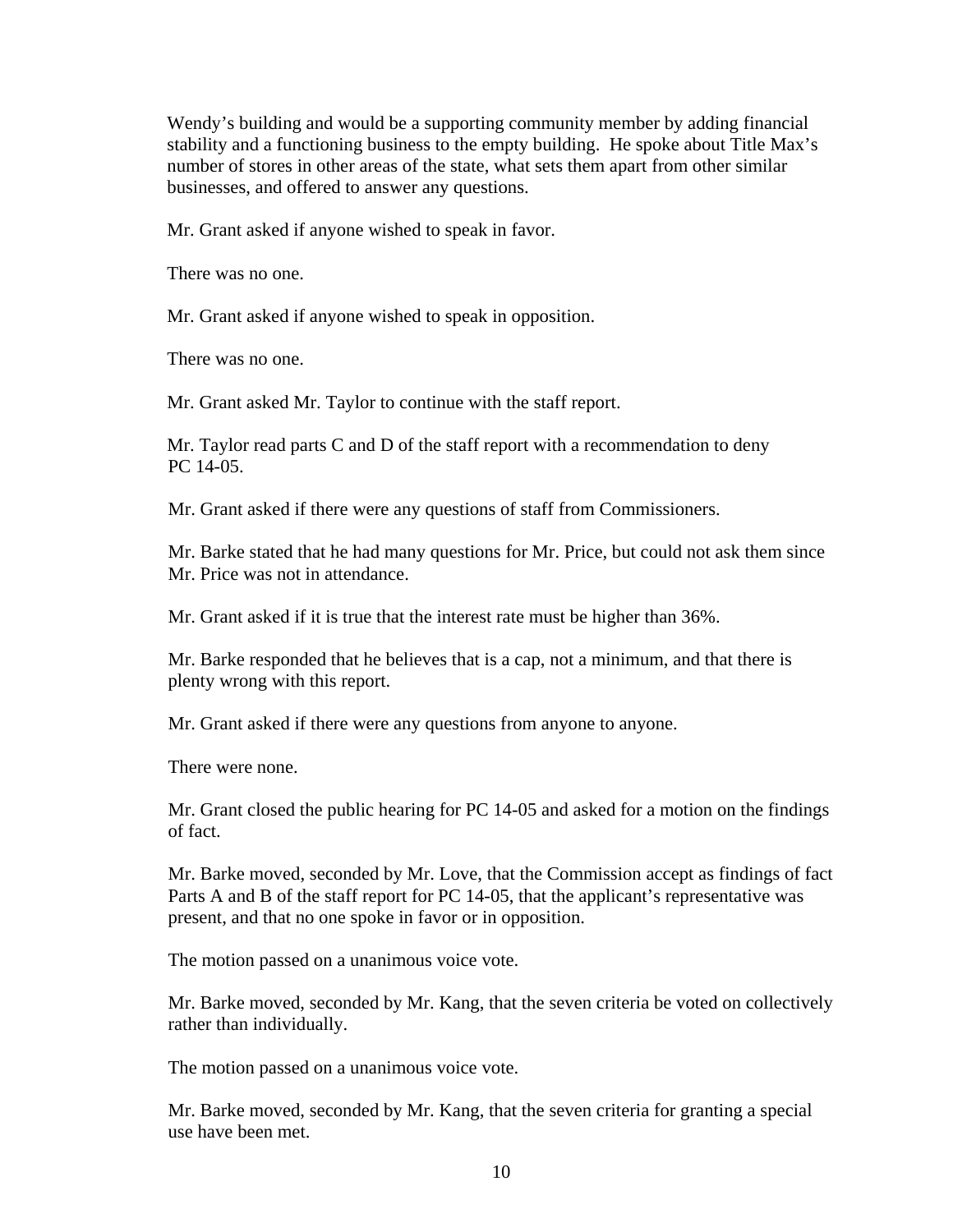Wendy's building and would be a supporting community member by adding financial stability and a functioning business to the empty building. He spoke about Title Max's number of stores in other areas of the state, what sets them apart from other similar businesses, and offered to answer any questions.

Mr. Grant asked if anyone wished to speak in favor.

There was no one.

Mr. Grant asked if anyone wished to speak in opposition.

There was no one.

Mr. Grant asked Mr. Taylor to continue with the staff report.

Mr. Taylor read parts C and D of the staff report with a recommendation to deny PC 14-05.

Mr. Grant asked if there were any questions of staff from Commissioners.

Mr. Barke stated that he had many questions for Mr. Price, but could not ask them since Mr. Price was not in attendance.

Mr. Grant asked if it is true that the interest rate must be higher than 36%.

Mr. Barke responded that he believes that is a cap, not a minimum, and that there is plenty wrong with this report.

Mr. Grant asked if there were any questions from anyone to anyone.

There were none.

Mr. Grant closed the public hearing for PC 14-05 and asked for a motion on the findings of fact.

Mr. Barke moved, seconded by Mr. Love, that the Commission accept as findings of fact Parts A and B of the staff report for PC 14-05, that the applicant's representative was present, and that no one spoke in favor or in opposition.

The motion passed on a unanimous voice vote.

Mr. Barke moved, seconded by Mr. Kang, that the seven criteria be voted on collectively rather than individually.

The motion passed on a unanimous voice vote.

Mr. Barke moved, seconded by Mr. Kang, that the seven criteria for granting a special use have been met.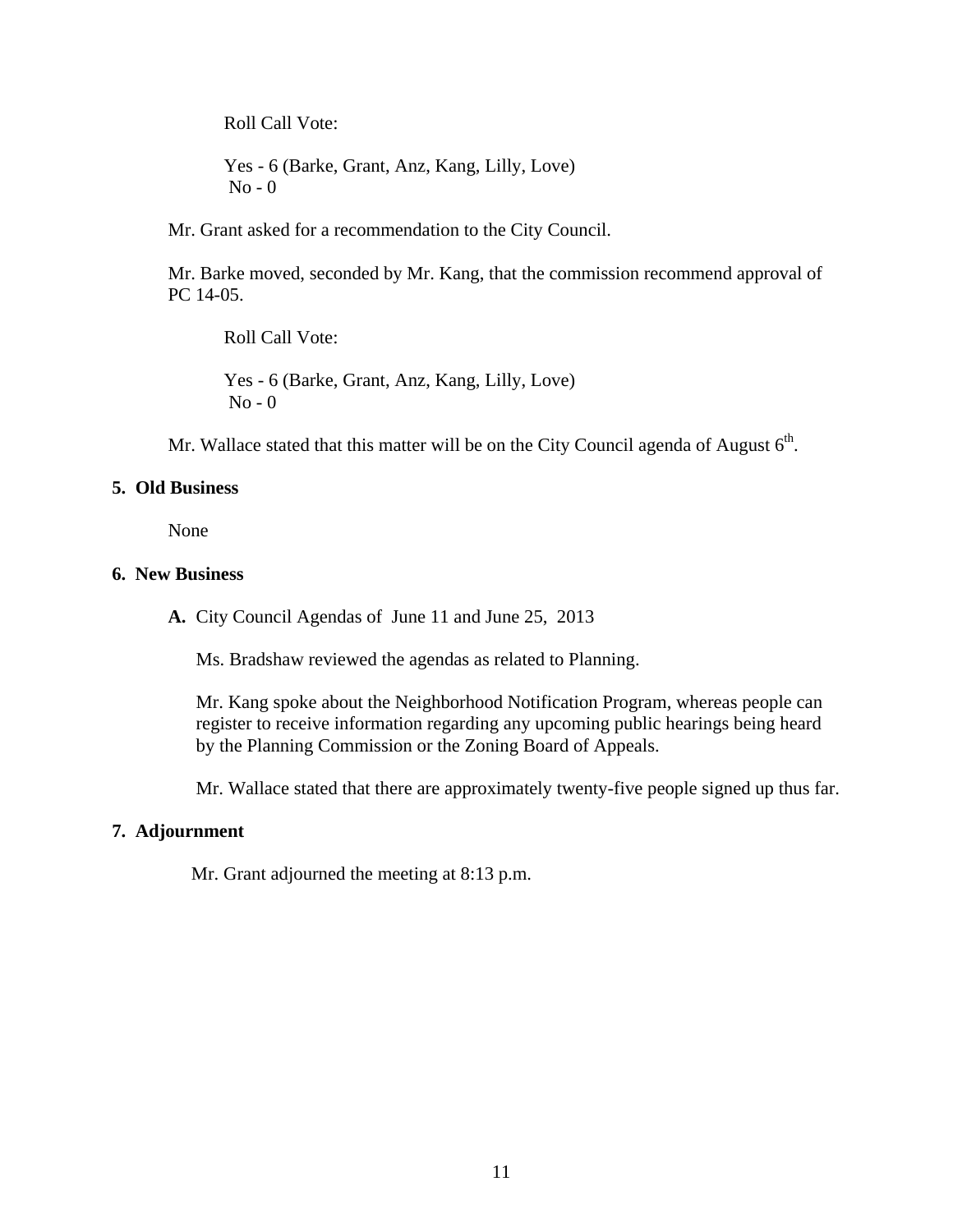Roll Call Vote:

 Yes - 6 (Barke, Grant, Anz, Kang, Lilly, Love)  $No - 0$ 

Mr. Grant asked for a recommendation to the City Council.

Mr. Barke moved, seconded by Mr. Kang, that the commission recommend approval of PC 14-05.

Roll Call Vote:

 Yes - 6 (Barke, Grant, Anz, Kang, Lilly, Love)  $No - 0$ 

Mr. Wallace stated that this matter will be on the City Council agenda of August  $6<sup>th</sup>$ .

#### **5. Old Business**

None

#### **6. New Business**

**A.** City Council Agendas of June 11 and June 25, 2013

Ms. Bradshaw reviewed the agendas as related to Planning.

Mr. Kang spoke about the Neighborhood Notification Program, whereas people can register to receive information regarding any upcoming public hearings being heard by the Planning Commission or the Zoning Board of Appeals.

Mr. Wallace stated that there are approximately twenty-five people signed up thus far.

#### **7. Adjournment**

Mr. Grant adjourned the meeting at 8:13 p.m.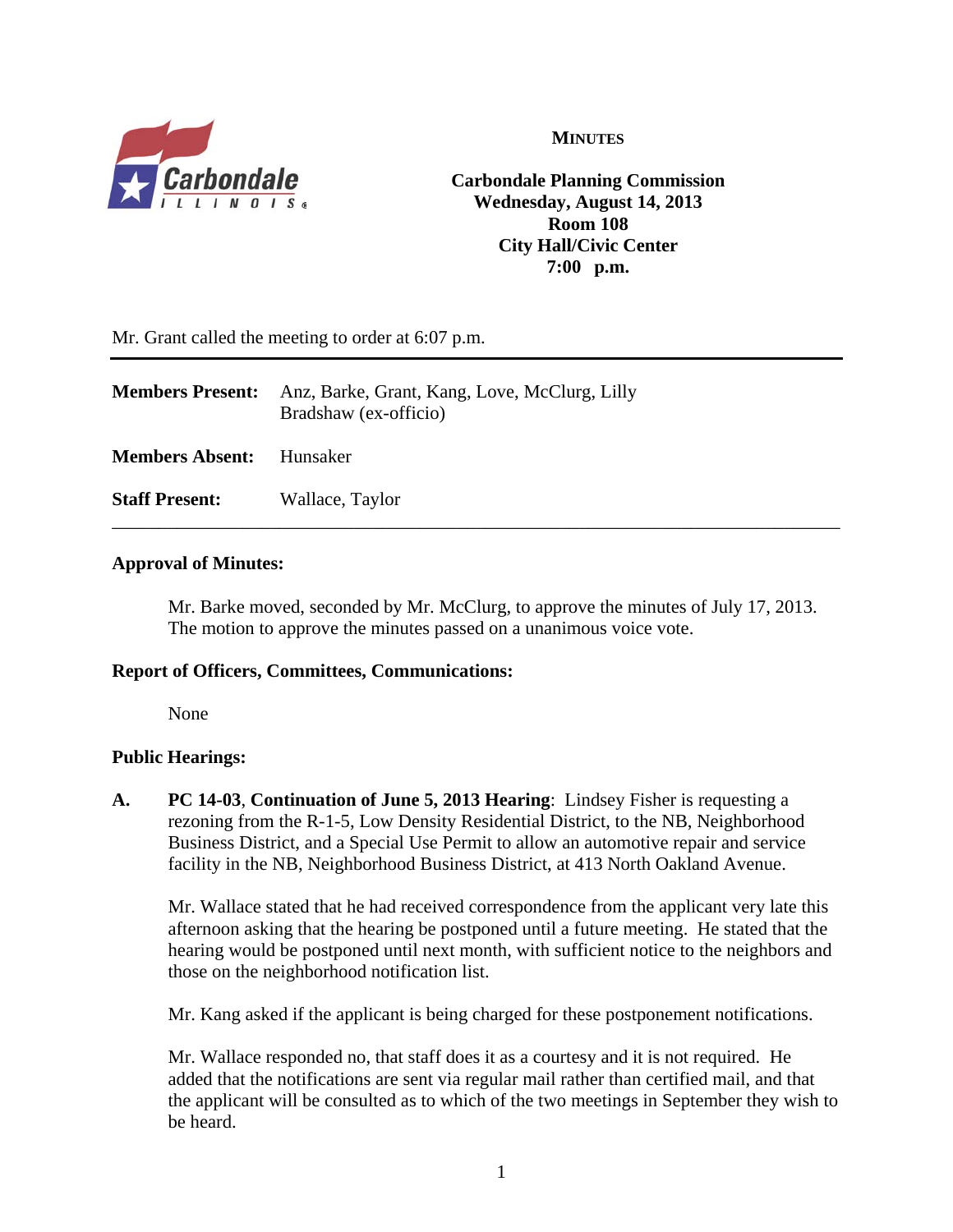

**MINUTES**

**Carbondale Planning Commission Wednesday, August 14, 2013 Room 108 City Hall/Civic Center 7:00 p.m.**

Mr. Grant called the meeting to order at 6:07 p.m.

| <b>Members Present:</b> | Anz, Barke, Grant, Kang, Love, McClurg, Lilly<br>Bradshaw (ex-officio) |
|-------------------------|------------------------------------------------------------------------|
| <b>Members Absent:</b>  | – Hunsaker                                                             |
| <b>Staff Present:</b>   | Wallace, Taylor                                                        |

#### **Approval of Minutes:**

Mr. Barke moved, seconded by Mr. McClurg, to approve the minutes of July 17, 2013. The motion to approve the minutes passed on a unanimous voice vote.

#### **Report of Officers, Committees, Communications:**

None

#### **Public Hearings:**

**A. PC 14-03**, **Continuation of June 5, 2013 Hearing**: Lindsey Fisher is requesting a rezoning from the R-1-5, Low Density Residential District, to the NB, Neighborhood Business District, and a Special Use Permit to allow an automotive repair and service facility in the NB, Neighborhood Business District, at 413 North Oakland Avenue.

Mr. Wallace stated that he had received correspondence from the applicant very late this afternoon asking that the hearing be postponed until a future meeting. He stated that the hearing would be postponed until next month, with sufficient notice to the neighbors and those on the neighborhood notification list.

Mr. Kang asked if the applicant is being charged for these postponement notifications.

Mr. Wallace responded no, that staff does it as a courtesy and it is not required. He added that the notifications are sent via regular mail rather than certified mail, and that the applicant will be consulted as to which of the two meetings in September they wish to be heard.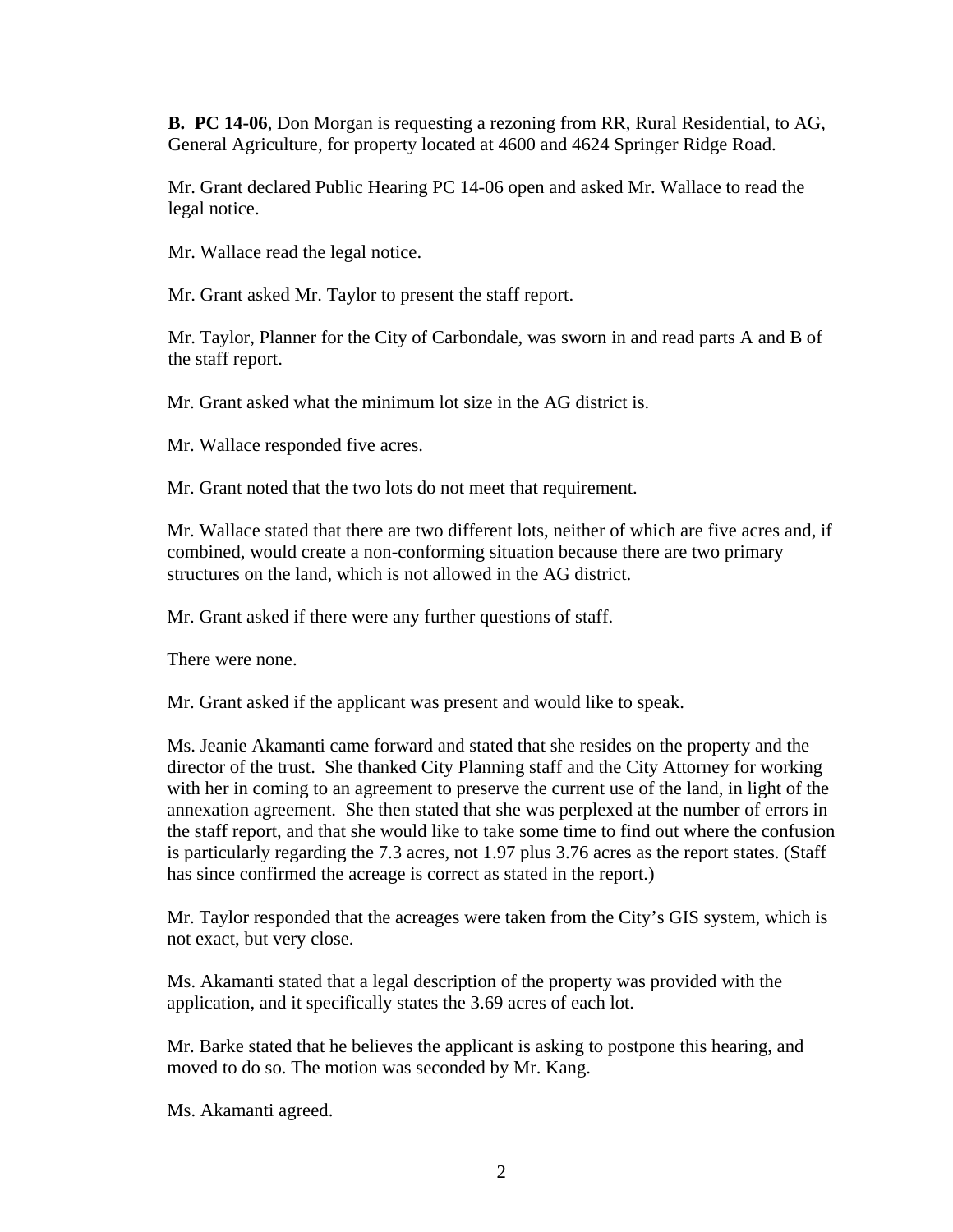**B. PC 14-06**, Don Morgan is requesting a rezoning from RR, Rural Residential, to AG, General Agriculture, for property located at 4600 and 4624 Springer Ridge Road.

Mr. Grant declared Public Hearing PC 14-06 open and asked Mr. Wallace to read the legal notice.

Mr. Wallace read the legal notice.

Mr. Grant asked Mr. Taylor to present the staff report.

Mr. Taylor, Planner for the City of Carbondale, was sworn in and read parts A and B of the staff report.

Mr. Grant asked what the minimum lot size in the AG district is.

Mr. Wallace responded five acres.

Mr. Grant noted that the two lots do not meet that requirement.

Mr. Wallace stated that there are two different lots, neither of which are five acres and, if combined, would create a non-conforming situation because there are two primary structures on the land, which is not allowed in the AG district.

Mr. Grant asked if there were any further questions of staff.

There were none.

Mr. Grant asked if the applicant was present and would like to speak.

Ms. Jeanie Akamanti came forward and stated that she resides on the property and the director of the trust. She thanked City Planning staff and the City Attorney for working with her in coming to an agreement to preserve the current use of the land, in light of the annexation agreement. She then stated that she was perplexed at the number of errors in the staff report, and that she would like to take some time to find out where the confusion is particularly regarding the 7.3 acres, not 1.97 plus 3.76 acres as the report states. (Staff has since confirmed the acreage is correct as stated in the report.)

Mr. Taylor responded that the acreages were taken from the City's GIS system, which is not exact, but very close.

Ms. Akamanti stated that a legal description of the property was provided with the application, and it specifically states the 3.69 acres of each lot.

Mr. Barke stated that he believes the applicant is asking to postpone this hearing, and moved to do so. The motion was seconded by Mr. Kang.

Ms. Akamanti agreed.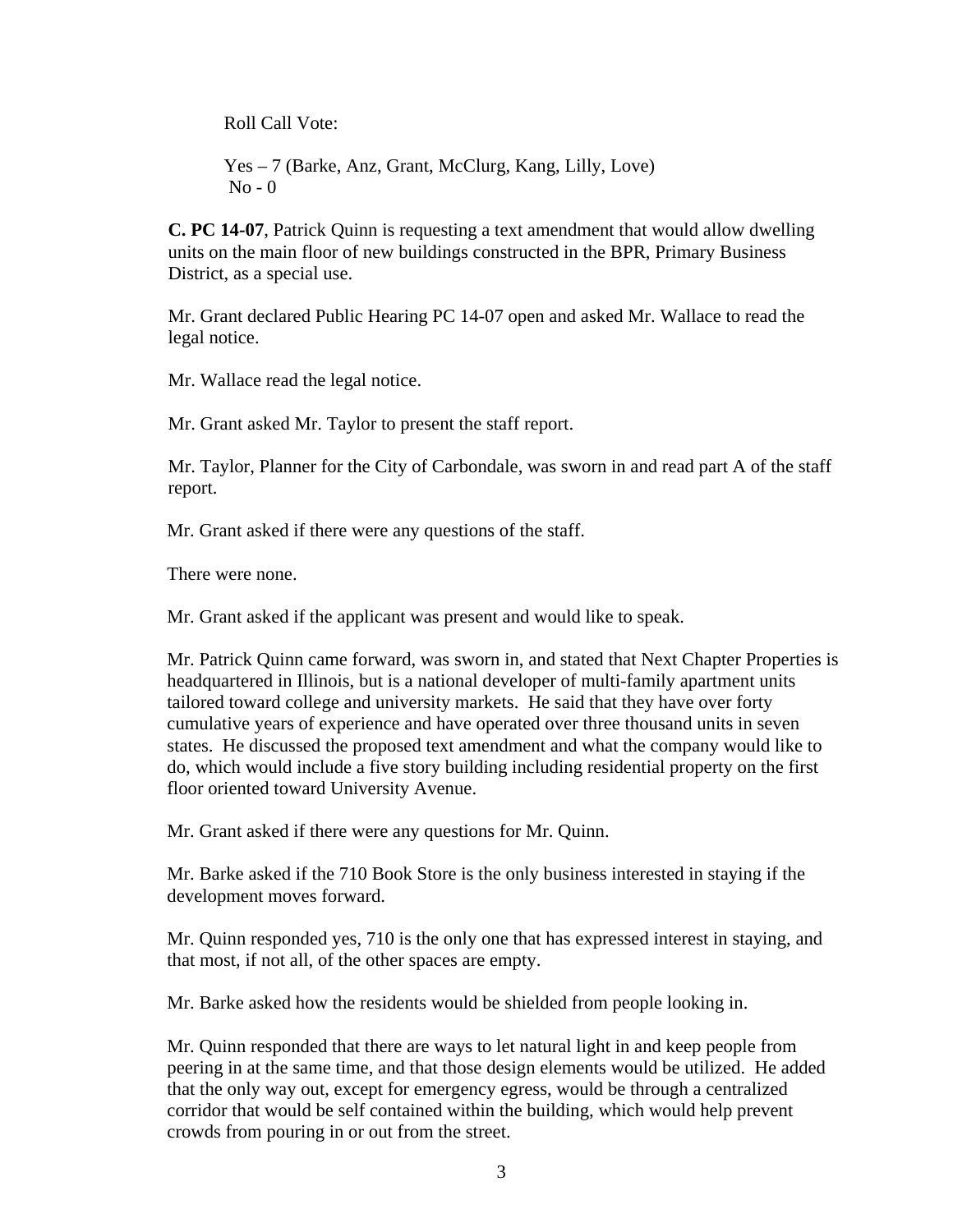Roll Call Vote:

 Yes – 7 (Barke, Anz, Grant, McClurg, Kang, Lilly, Love)  $No - 0$ 

**C. PC 14-07**, Patrick Quinn is requesting a text amendment that would allow dwelling units on the main floor of new buildings constructed in the BPR, Primary Business District, as a special use.

Mr. Grant declared Public Hearing PC 14-07 open and asked Mr. Wallace to read the legal notice.

Mr. Wallace read the legal notice.

Mr. Grant asked Mr. Taylor to present the staff report.

Mr. Taylor, Planner for the City of Carbondale, was sworn in and read part A of the staff report.

Mr. Grant asked if there were any questions of the staff.

There were none.

Mr. Grant asked if the applicant was present and would like to speak.

Mr. Patrick Quinn came forward, was sworn in, and stated that Next Chapter Properties is headquartered in Illinois, but is a national developer of multi-family apartment units tailored toward college and university markets. He said that they have over forty cumulative years of experience and have operated over three thousand units in seven states. He discussed the proposed text amendment and what the company would like to do, which would include a five story building including residential property on the first floor oriented toward University Avenue.

Mr. Grant asked if there were any questions for Mr. Quinn.

Mr. Barke asked if the 710 Book Store is the only business interested in staying if the development moves forward.

Mr. Quinn responded yes, 710 is the only one that has expressed interest in staying, and that most, if not all, of the other spaces are empty.

Mr. Barke asked how the residents would be shielded from people looking in.

Mr. Quinn responded that there are ways to let natural light in and keep people from peering in at the same time, and that those design elements would be utilized. He added that the only way out, except for emergency egress, would be through a centralized corridor that would be self contained within the building, which would help prevent crowds from pouring in or out from the street.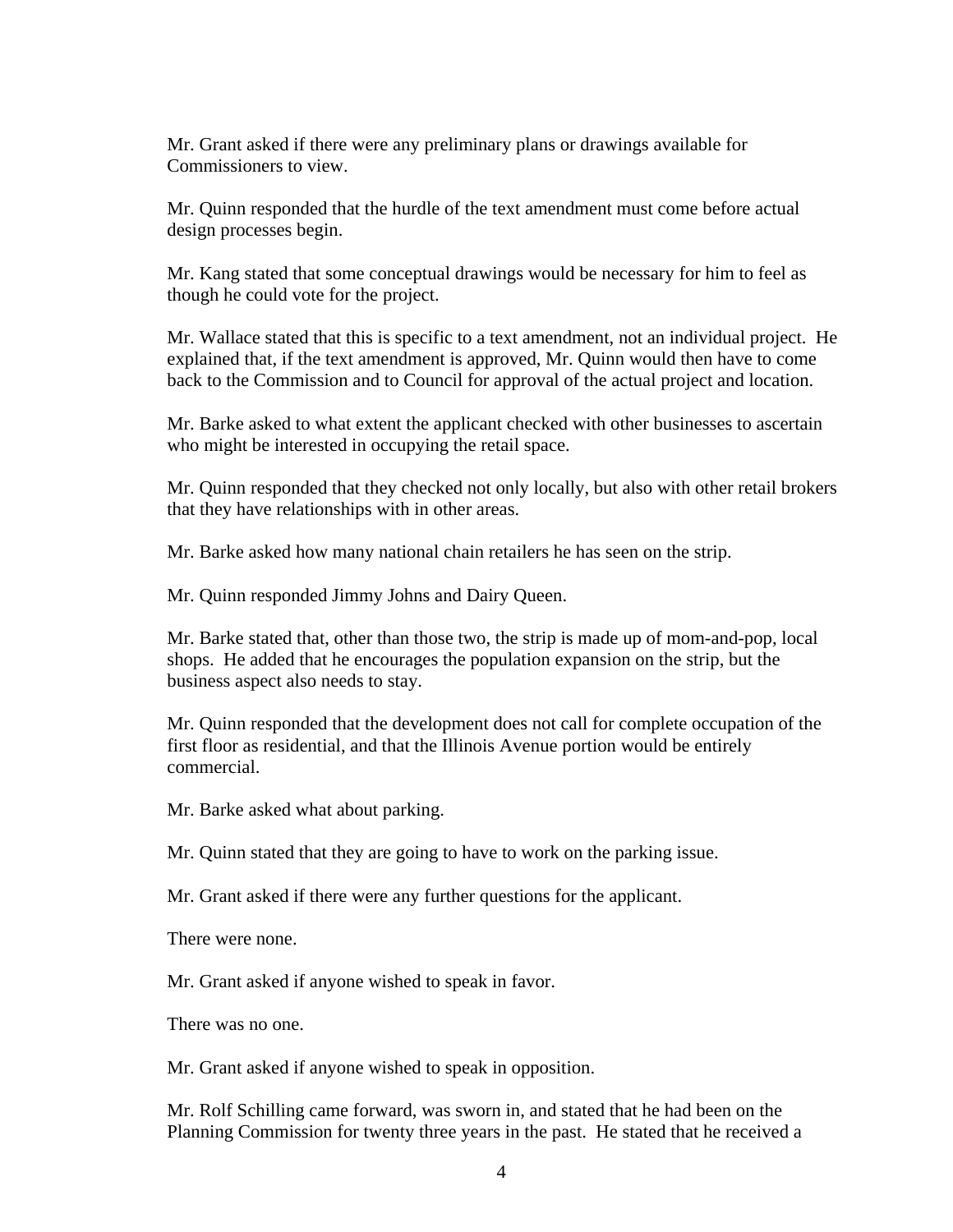Mr. Grant asked if there were any preliminary plans or drawings available for Commissioners to view.

Mr. Quinn responded that the hurdle of the text amendment must come before actual design processes begin.

Mr. Kang stated that some conceptual drawings would be necessary for him to feel as though he could vote for the project.

Mr. Wallace stated that this is specific to a text amendment, not an individual project. He explained that, if the text amendment is approved, Mr. Quinn would then have to come back to the Commission and to Council for approval of the actual project and location.

Mr. Barke asked to what extent the applicant checked with other businesses to ascertain who might be interested in occupying the retail space.

Mr. Quinn responded that they checked not only locally, but also with other retail brokers that they have relationships with in other areas.

Mr. Barke asked how many national chain retailers he has seen on the strip.

Mr. Quinn responded Jimmy Johns and Dairy Queen.

Mr. Barke stated that, other than those two, the strip is made up of mom-and-pop, local shops. He added that he encourages the population expansion on the strip, but the business aspect also needs to stay.

Mr. Quinn responded that the development does not call for complete occupation of the first floor as residential, and that the Illinois Avenue portion would be entirely commercial.

Mr. Barke asked what about parking.

Mr. Quinn stated that they are going to have to work on the parking issue.

Mr. Grant asked if there were any further questions for the applicant.

There were none.

Mr. Grant asked if anyone wished to speak in favor.

There was no one.

Mr. Grant asked if anyone wished to speak in opposition.

Mr. Rolf Schilling came forward, was sworn in, and stated that he had been on the Planning Commission for twenty three years in the past. He stated that he received a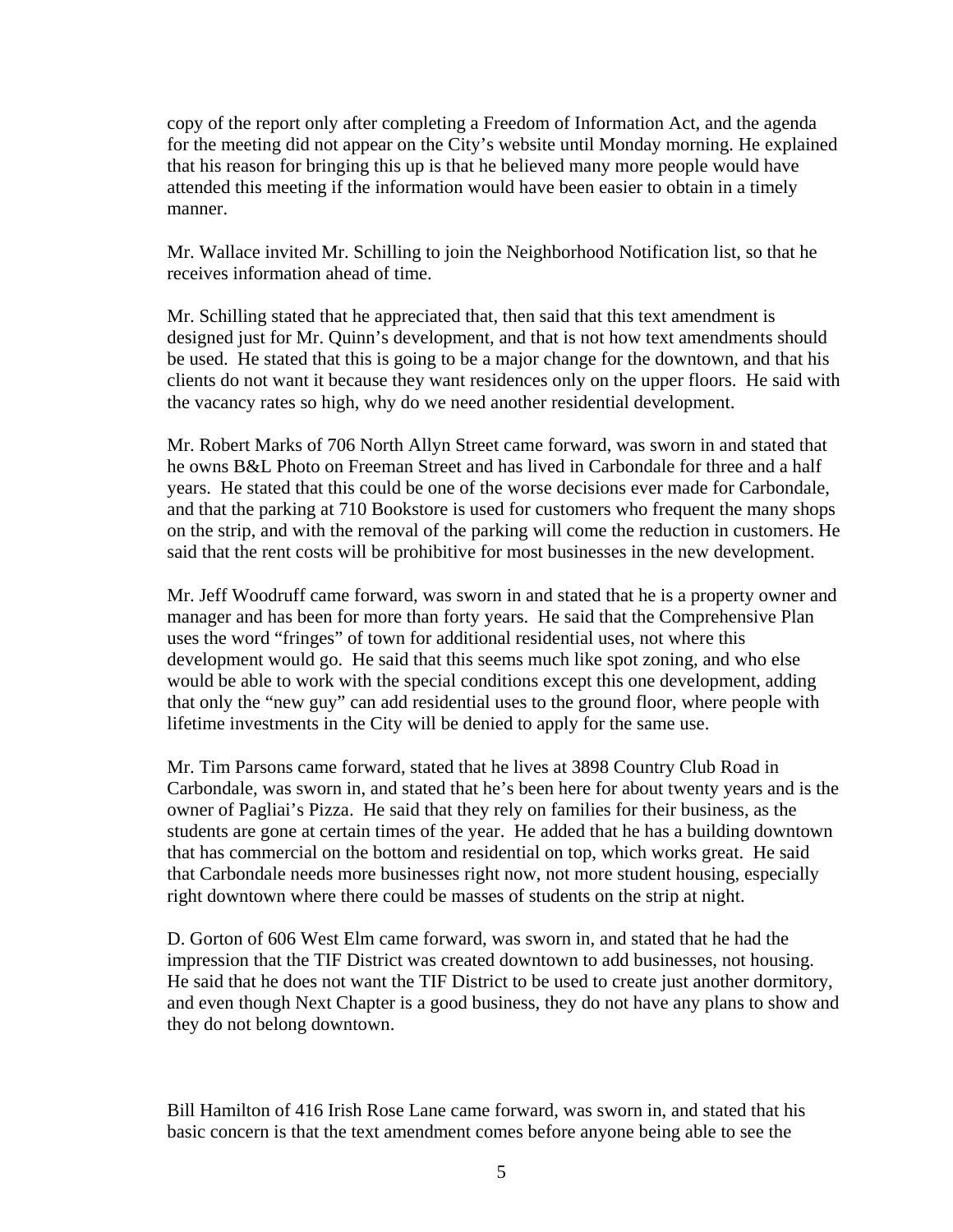copy of the report only after completing a Freedom of Information Act, and the agenda for the meeting did not appear on the City's website until Monday morning. He explained that his reason for bringing this up is that he believed many more people would have attended this meeting if the information would have been easier to obtain in a timely manner.

Mr. Wallace invited Mr. Schilling to join the Neighborhood Notification list, so that he receives information ahead of time.

Mr. Schilling stated that he appreciated that, then said that this text amendment is designed just for Mr. Quinn's development, and that is not how text amendments should be used. He stated that this is going to be a major change for the downtown, and that his clients do not want it because they want residences only on the upper floors. He said with the vacancy rates so high, why do we need another residential development.

Mr. Robert Marks of 706 North Allyn Street came forward, was sworn in and stated that he owns B&L Photo on Freeman Street and has lived in Carbondale for three and a half years. He stated that this could be one of the worse decisions ever made for Carbondale, and that the parking at 710 Bookstore is used for customers who frequent the many shops on the strip, and with the removal of the parking will come the reduction in customers. He said that the rent costs will be prohibitive for most businesses in the new development.

Mr. Jeff Woodruff came forward, was sworn in and stated that he is a property owner and manager and has been for more than forty years. He said that the Comprehensive Plan uses the word "fringes" of town for additional residential uses, not where this development would go. He said that this seems much like spot zoning, and who else would be able to work with the special conditions except this one development, adding that only the "new guy" can add residential uses to the ground floor, where people with lifetime investments in the City will be denied to apply for the same use.

Mr. Tim Parsons came forward, stated that he lives at 3898 Country Club Road in Carbondale, was sworn in, and stated that he's been here for about twenty years and is the owner of Pagliai's Pizza. He said that they rely on families for their business, as the students are gone at certain times of the year. He added that he has a building downtown that has commercial on the bottom and residential on top, which works great. He said that Carbondale needs more businesses right now, not more student housing, especially right downtown where there could be masses of students on the strip at night.

D. Gorton of 606 West Elm came forward, was sworn in, and stated that he had the impression that the TIF District was created downtown to add businesses, not housing. He said that he does not want the TIF District to be used to create just another dormitory, and even though Next Chapter is a good business, they do not have any plans to show and they do not belong downtown.

Bill Hamilton of 416 Irish Rose Lane came forward, was sworn in, and stated that his basic concern is that the text amendment comes before anyone being able to see the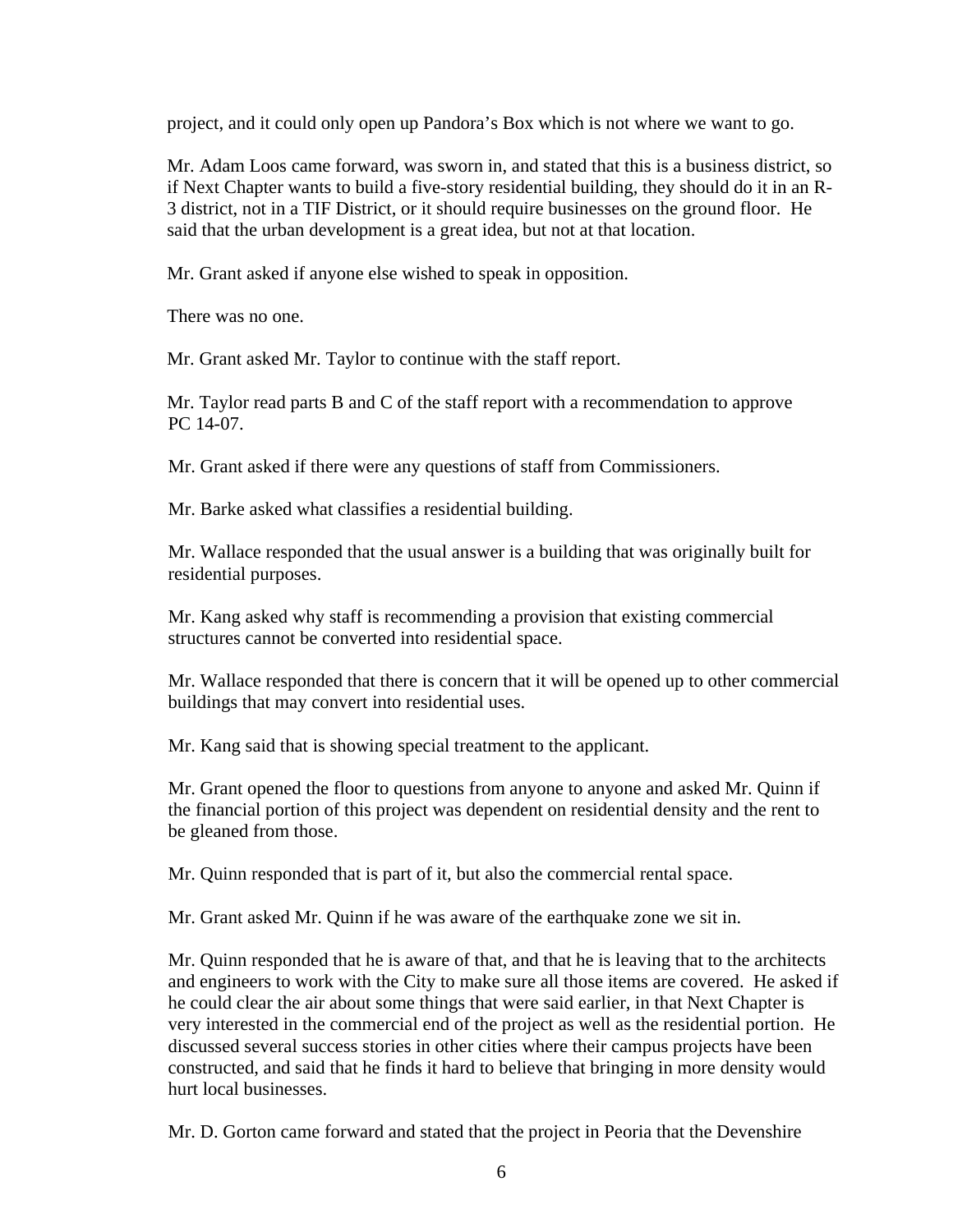project, and it could only open up Pandora's Box which is not where we want to go.

Mr. Adam Loos came forward, was sworn in, and stated that this is a business district, so if Next Chapter wants to build a five-story residential building, they should do it in an R-3 district, not in a TIF District, or it should require businesses on the ground floor. He said that the urban development is a great idea, but not at that location.

Mr. Grant asked if anyone else wished to speak in opposition.

There was no one.

Mr. Grant asked Mr. Taylor to continue with the staff report.

Mr. Taylor read parts B and C of the staff report with a recommendation to approve PC 14-07.

Mr. Grant asked if there were any questions of staff from Commissioners.

Mr. Barke asked what classifies a residential building.

Mr. Wallace responded that the usual answer is a building that was originally built for residential purposes.

Mr. Kang asked why staff is recommending a provision that existing commercial structures cannot be converted into residential space.

Mr. Wallace responded that there is concern that it will be opened up to other commercial buildings that may convert into residential uses.

Mr. Kang said that is showing special treatment to the applicant.

Mr. Grant opened the floor to questions from anyone to anyone and asked Mr. Quinn if the financial portion of this project was dependent on residential density and the rent to be gleaned from those.

Mr. Quinn responded that is part of it, but also the commercial rental space.

Mr. Grant asked Mr. Quinn if he was aware of the earthquake zone we sit in.

Mr. Quinn responded that he is aware of that, and that he is leaving that to the architects and engineers to work with the City to make sure all those items are covered. He asked if he could clear the air about some things that were said earlier, in that Next Chapter is very interested in the commercial end of the project as well as the residential portion. He discussed several success stories in other cities where their campus projects have been constructed, and said that he finds it hard to believe that bringing in more density would hurt local businesses.

Mr. D. Gorton came forward and stated that the project in Peoria that the Devenshire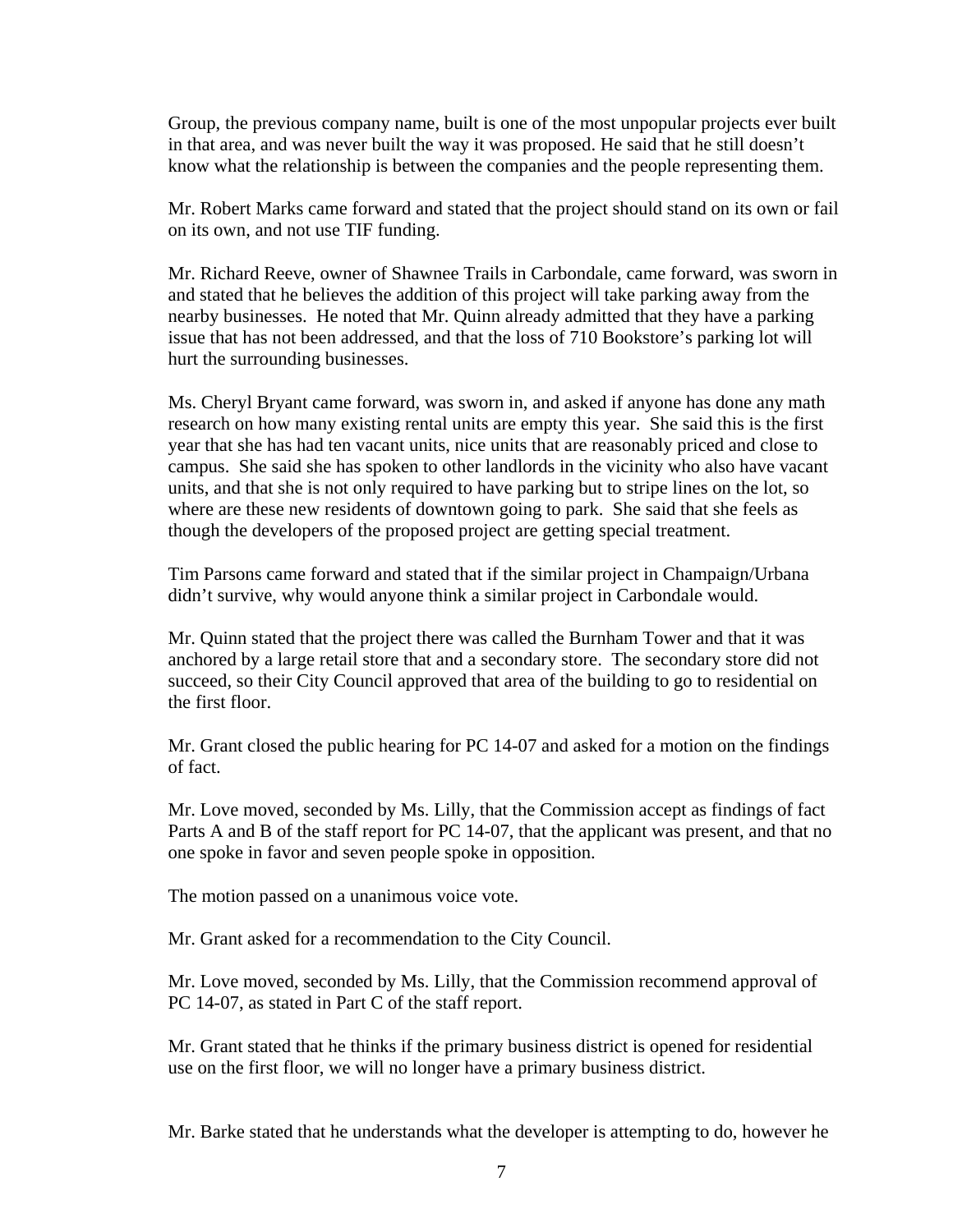Group, the previous company name, built is one of the most unpopular projects ever built in that area, and was never built the way it was proposed. He said that he still doesn't know what the relationship is between the companies and the people representing them.

Mr. Robert Marks came forward and stated that the project should stand on its own or fail on its own, and not use TIF funding.

Mr. Richard Reeve, owner of Shawnee Trails in Carbondale, came forward, was sworn in and stated that he believes the addition of this project will take parking away from the nearby businesses. He noted that Mr. Quinn already admitted that they have a parking issue that has not been addressed, and that the loss of 710 Bookstore's parking lot will hurt the surrounding businesses.

Ms. Cheryl Bryant came forward, was sworn in, and asked if anyone has done any math research on how many existing rental units are empty this year. She said this is the first year that she has had ten vacant units, nice units that are reasonably priced and close to campus. She said she has spoken to other landlords in the vicinity who also have vacant units, and that she is not only required to have parking but to stripe lines on the lot, so where are these new residents of downtown going to park. She said that she feels as though the developers of the proposed project are getting special treatment.

Tim Parsons came forward and stated that if the similar project in Champaign/Urbana didn't survive, why would anyone think a similar project in Carbondale would.

Mr. Quinn stated that the project there was called the Burnham Tower and that it was anchored by a large retail store that and a secondary store. The secondary store did not succeed, so their City Council approved that area of the building to go to residential on the first floor.

Mr. Grant closed the public hearing for PC 14-07 and asked for a motion on the findings of fact.

Mr. Love moved, seconded by Ms. Lilly, that the Commission accept as findings of fact Parts A and B of the staff report for PC 14-07, that the applicant was present, and that no one spoke in favor and seven people spoke in opposition.

The motion passed on a unanimous voice vote.

Mr. Grant asked for a recommendation to the City Council.

Mr. Love moved, seconded by Ms. Lilly, that the Commission recommend approval of PC 14-07, as stated in Part C of the staff report.

Mr. Grant stated that he thinks if the primary business district is opened for residential use on the first floor, we will no longer have a primary business district.

Mr. Barke stated that he understands what the developer is attempting to do, however he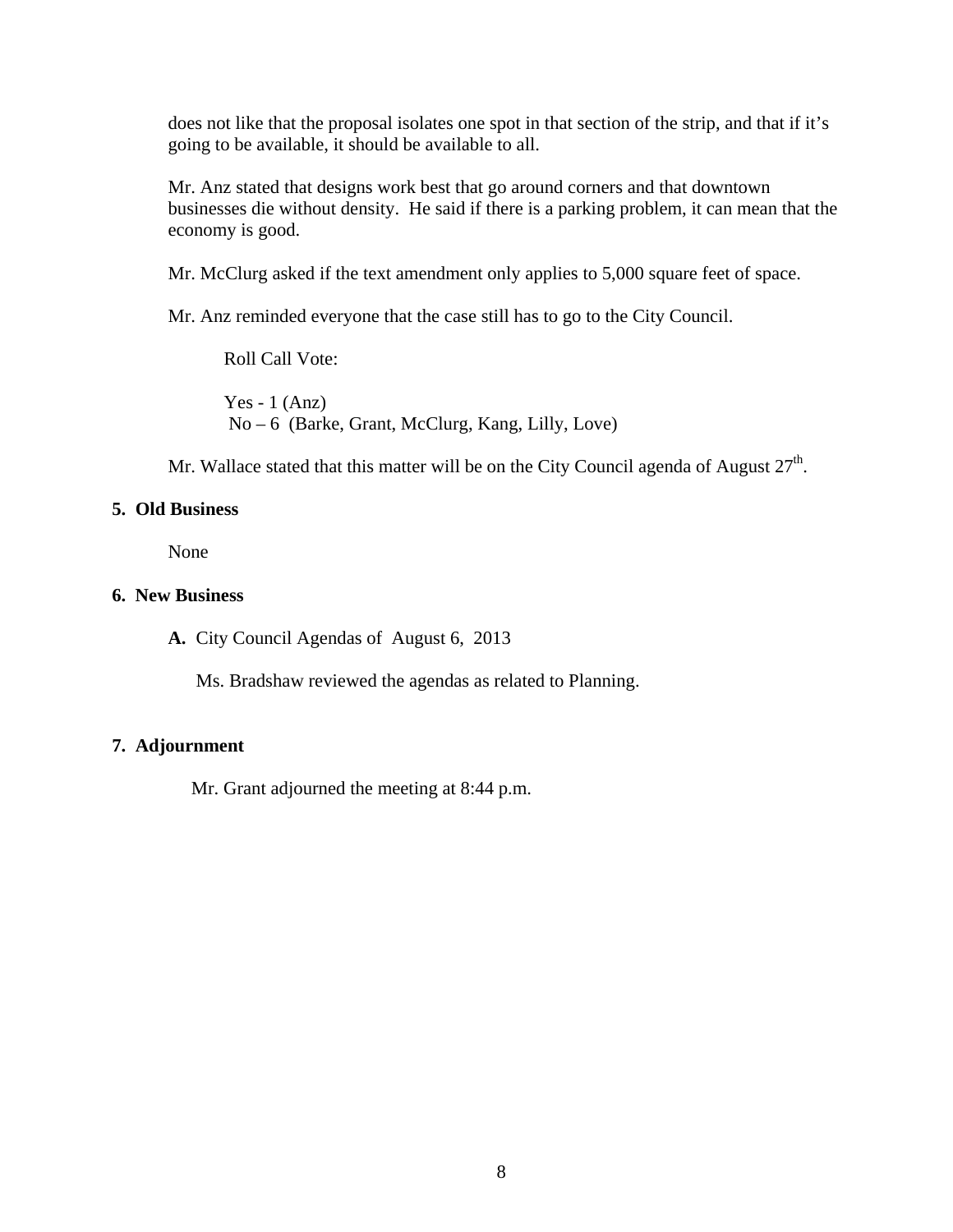does not like that the proposal isolates one spot in that section of the strip, and that if it's going to be available, it should be available to all.

Mr. Anz stated that designs work best that go around corners and that downtown businesses die without density. He said if there is a parking problem, it can mean that the economy is good.

Mr. McClurg asked if the text amendment only applies to 5,000 square feet of space.

Mr. Anz reminded everyone that the case still has to go to the City Council.

Roll Call Vote: Yes - 1  $(Ans)$ No – 6 (Barke, Grant, McClurg, Kang, Lilly, Love)

Mr. Wallace stated that this matter will be on the City Council agenda of August  $27<sup>th</sup>$ .

#### **5. Old Business**

None

#### **6. New Business**

**A.** City Council Agendas of August 6, 2013

Ms. Bradshaw reviewed the agendas as related to Planning.

#### **7. Adjournment**

Mr. Grant adjourned the meeting at 8:44 p.m.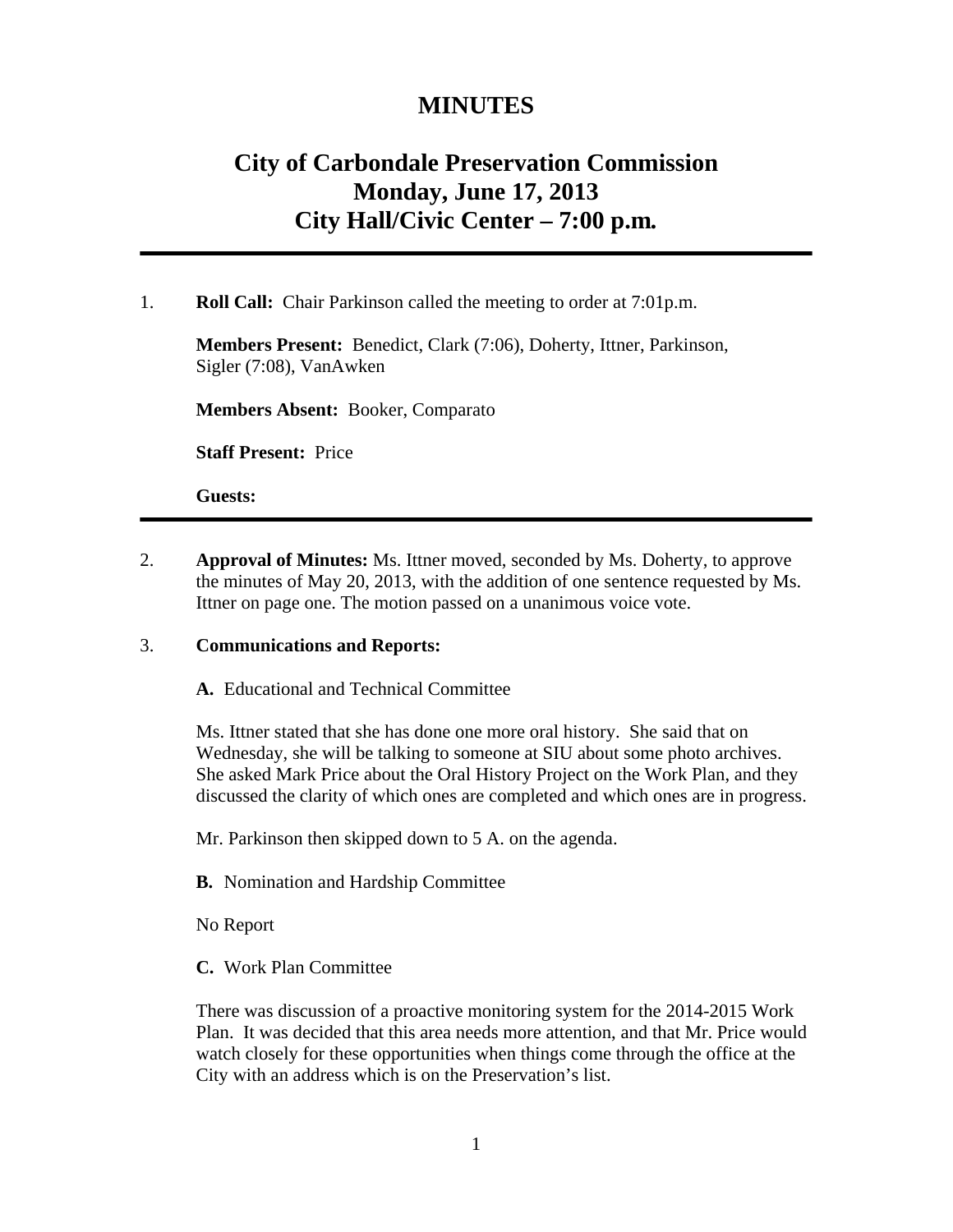# **MINUTES**

# **City of Carbondale Preservation Commission Monday, June 17, 2013 City Hall/Civic Center – 7:00 p.m***.*

#### 1. **Roll Call:** Chair Parkinson called the meeting to order at 7:01p.m.

**Members Present:** Benedict, Clark (7:06), Doherty, Ittner, Parkinson, Sigler (7:08), VanAwken

**Members Absent:** Booker, Comparato

**Staff Present:** Price

**Guests:** 

2. **Approval of Minutes:** Ms. Ittner moved, seconded by Ms. Doherty, to approve the minutes of May 20, 2013, with the addition of one sentence requested by Ms. Ittner on page one. The motion passed on a unanimous voice vote.

#### 3. **Communications and Reports:**

**A.** Educational and Technical Committee

Ms. Ittner stated that she has done one more oral history. She said that on Wednesday, she will be talking to someone at SIU about some photo archives. She asked Mark Price about the Oral History Project on the Work Plan, and they discussed the clarity of which ones are completed and which ones are in progress.

Mr. Parkinson then skipped down to 5 A. on the agenda.

**B.** Nomination and Hardship Committee

No Report

**C.** Work Plan Committee

There was discussion of a proactive monitoring system for the 2014-2015 Work Plan. It was decided that this area needs more attention, and that Mr. Price would watch closely for these opportunities when things come through the office at the City with an address which is on the Preservation's list.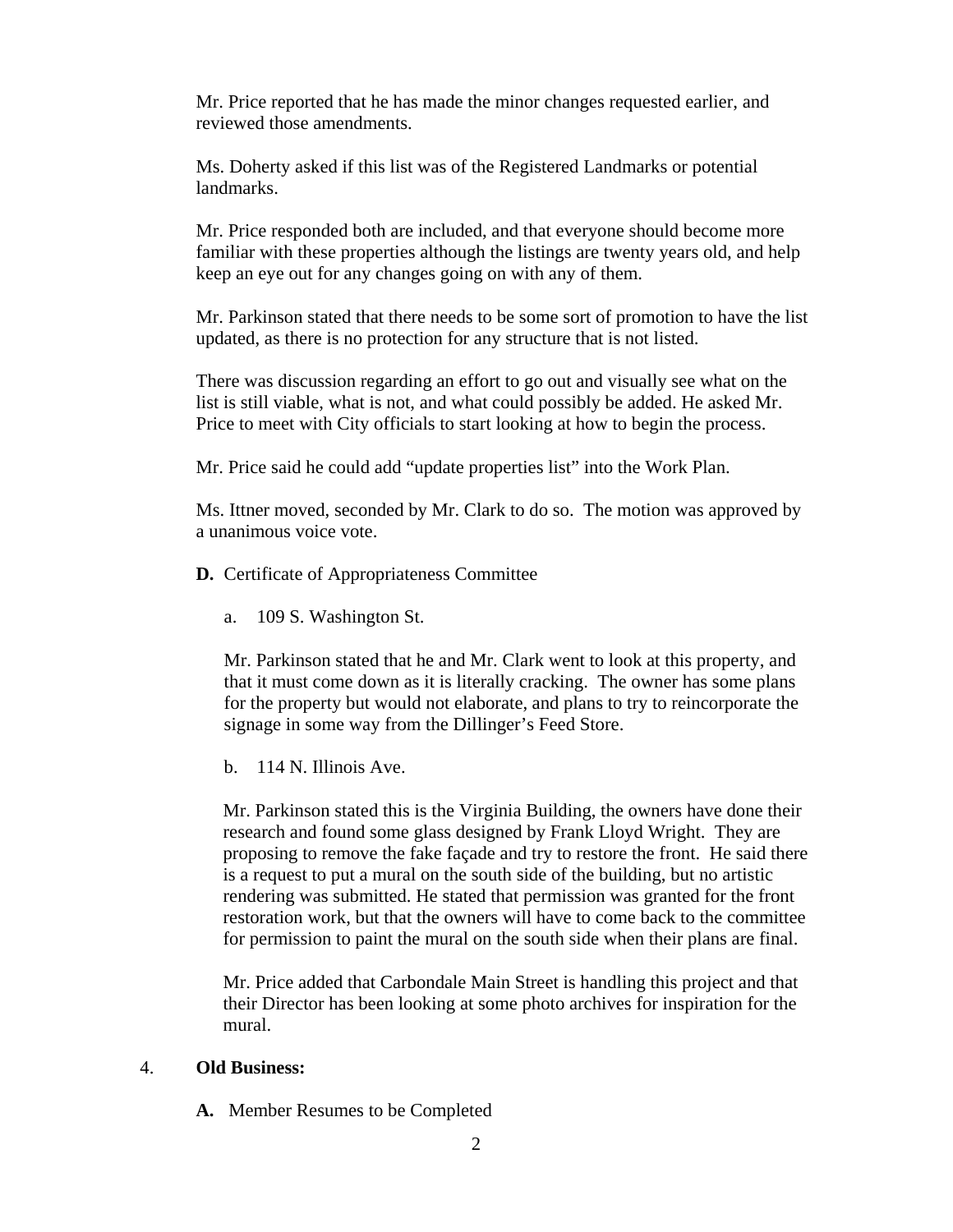Mr. Price reported that he has made the minor changes requested earlier, and reviewed those amendments.

Ms. Doherty asked if this list was of the Registered Landmarks or potential landmarks.

Mr. Price responded both are included, and that everyone should become more familiar with these properties although the listings are twenty years old, and help keep an eye out for any changes going on with any of them.

Mr. Parkinson stated that there needs to be some sort of promotion to have the list updated, as there is no protection for any structure that is not listed.

There was discussion regarding an effort to go out and visually see what on the list is still viable, what is not, and what could possibly be added. He asked Mr. Price to meet with City officials to start looking at how to begin the process.

Mr. Price said he could add "update properties list" into the Work Plan.

Ms. Ittner moved, seconded by Mr. Clark to do so. The motion was approved by a unanimous voice vote.

- **D.** Certificate of Appropriateness Committee
	- a. 109 S. Washington St.

Mr. Parkinson stated that he and Mr. Clark went to look at this property, and that it must come down as it is literally cracking. The owner has some plans for the property but would not elaborate, and plans to try to reincorporate the signage in some way from the Dillinger's Feed Store.

b. 114 N. Illinois Ave.

Mr. Parkinson stated this is the Virginia Building, the owners have done their research and found some glass designed by Frank Lloyd Wright. They are proposing to remove the fake façade and try to restore the front. He said there is a request to put a mural on the south side of the building, but no artistic rendering was submitted. He stated that permission was granted for the front restoration work, but that the owners will have to come back to the committee for permission to paint the mural on the south side when their plans are final.

Mr. Price added that Carbondale Main Street is handling this project and that their Director has been looking at some photo archives for inspiration for the mural.

#### 4. **Old Business:**

**A.** Member Resumes to be Completed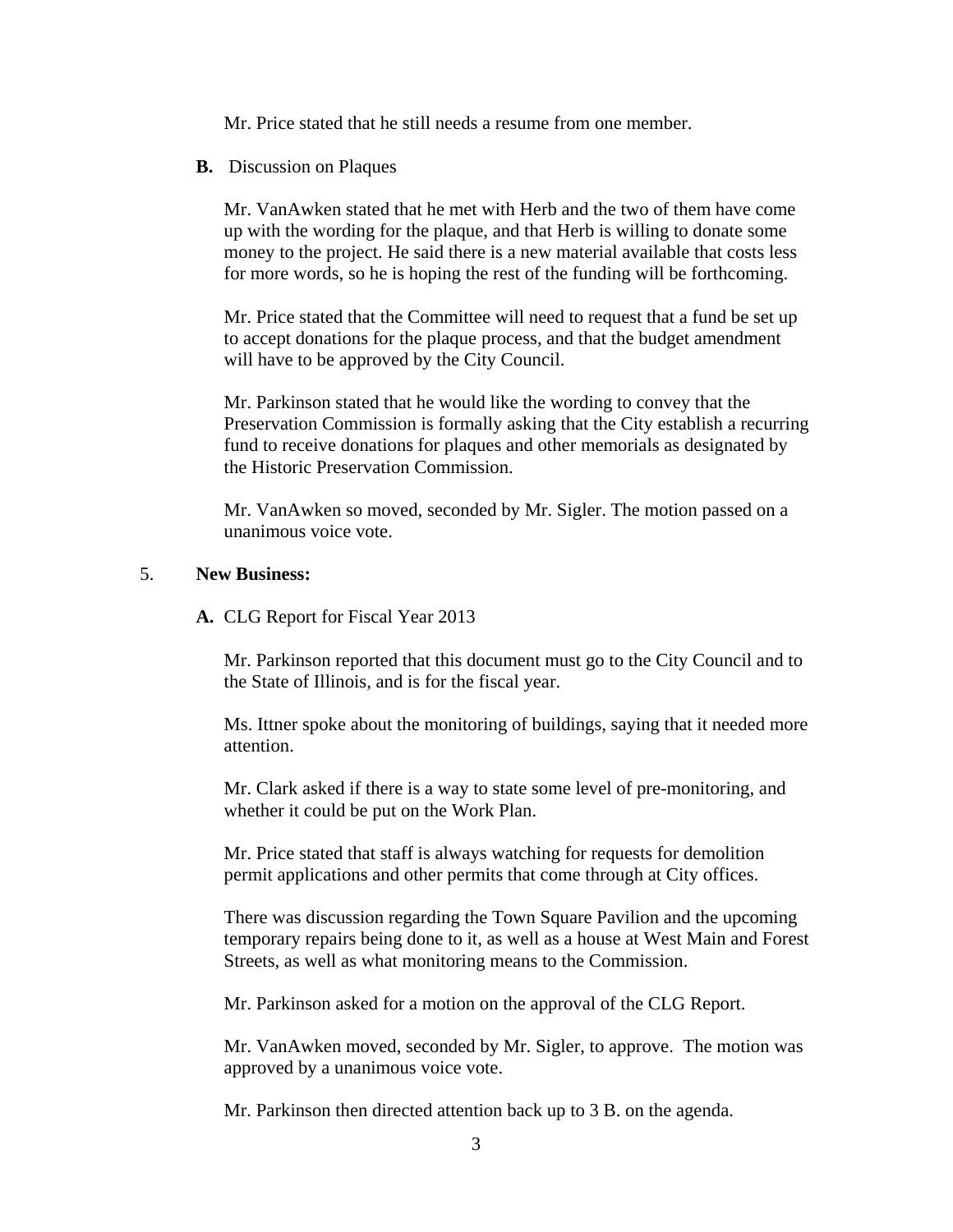Mr. Price stated that he still needs a resume from one member.

**B.** Discussion on Plaques

Mr. VanAwken stated that he met with Herb and the two of them have come up with the wording for the plaque, and that Herb is willing to donate some money to the project. He said there is a new material available that costs less for more words, so he is hoping the rest of the funding will be forthcoming.

Mr. Price stated that the Committee will need to request that a fund be set up to accept donations for the plaque process, and that the budget amendment will have to be approved by the City Council.

Mr. Parkinson stated that he would like the wording to convey that the Preservation Commission is formally asking that the City establish a recurring fund to receive donations for plaques and other memorials as designated by the Historic Preservation Commission.

Mr. VanAwken so moved, seconded by Mr. Sigler. The motion passed on a unanimous voice vote.

## 5. **New Business:**

**A.** CLG Report for Fiscal Year 2013

Mr. Parkinson reported that this document must go to the City Council and to the State of Illinois, and is for the fiscal year.

Ms. Ittner spoke about the monitoring of buildings, saying that it needed more attention.

Mr. Clark asked if there is a way to state some level of pre-monitoring, and whether it could be put on the Work Plan.

Mr. Price stated that staff is always watching for requests for demolition permit applications and other permits that come through at City offices.

There was discussion regarding the Town Square Pavilion and the upcoming temporary repairs being done to it, as well as a house at West Main and Forest Streets, as well as what monitoring means to the Commission.

Mr. Parkinson asked for a motion on the approval of the CLG Report.

Mr. VanAwken moved, seconded by Mr. Sigler, to approve. The motion was approved by a unanimous voice vote.

Mr. Parkinson then directed attention back up to 3 B. on the agenda.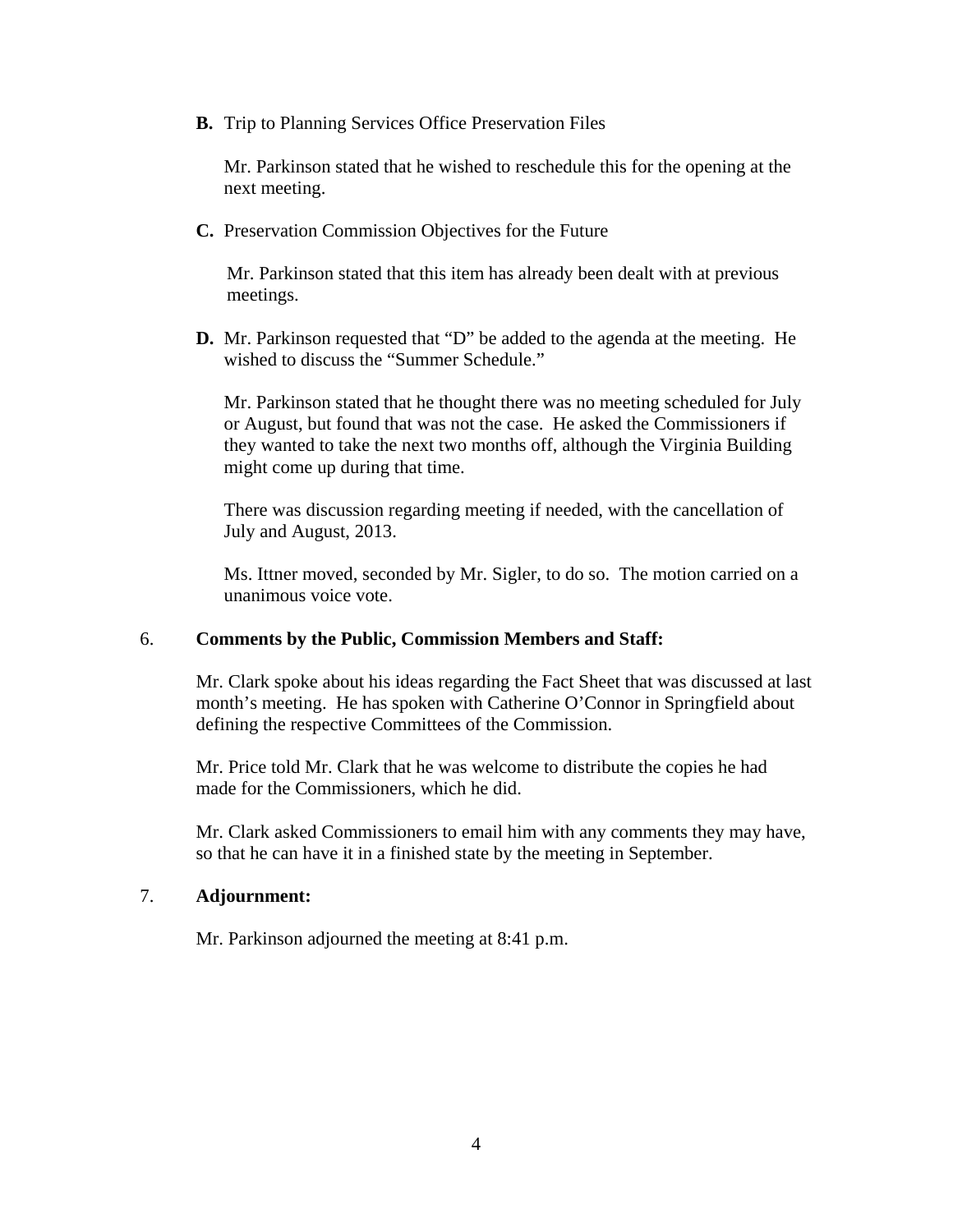**B.** Trip to Planning Services Office Preservation Files

Mr. Parkinson stated that he wished to reschedule this for the opening at the next meeting.

**C.** Preservation Commission Objectives for the Future

Mr. Parkinson stated that this item has already been dealt with at previous meetings.

**D.** Mr. Parkinson requested that "D" be added to the agenda at the meeting. He wished to discuss the "Summer Schedule."

Mr. Parkinson stated that he thought there was no meeting scheduled for July or August, but found that was not the case. He asked the Commissioners if they wanted to take the next two months off, although the Virginia Building might come up during that time.

There was discussion regarding meeting if needed, with the cancellation of July and August, 2013.

Ms. Ittner moved, seconded by Mr. Sigler, to do so. The motion carried on a unanimous voice vote.

#### 6. **Comments by the Public, Commission Members and Staff:**

Mr. Clark spoke about his ideas regarding the Fact Sheet that was discussed at last month's meeting. He has spoken with Catherine O'Connor in Springfield about defining the respective Committees of the Commission.

Mr. Price told Mr. Clark that he was welcome to distribute the copies he had made for the Commissioners, which he did.

Mr. Clark asked Commissioners to email him with any comments they may have, so that he can have it in a finished state by the meeting in September.

#### 7. **Adjournment:**

Mr. Parkinson adjourned the meeting at 8:41 p.m.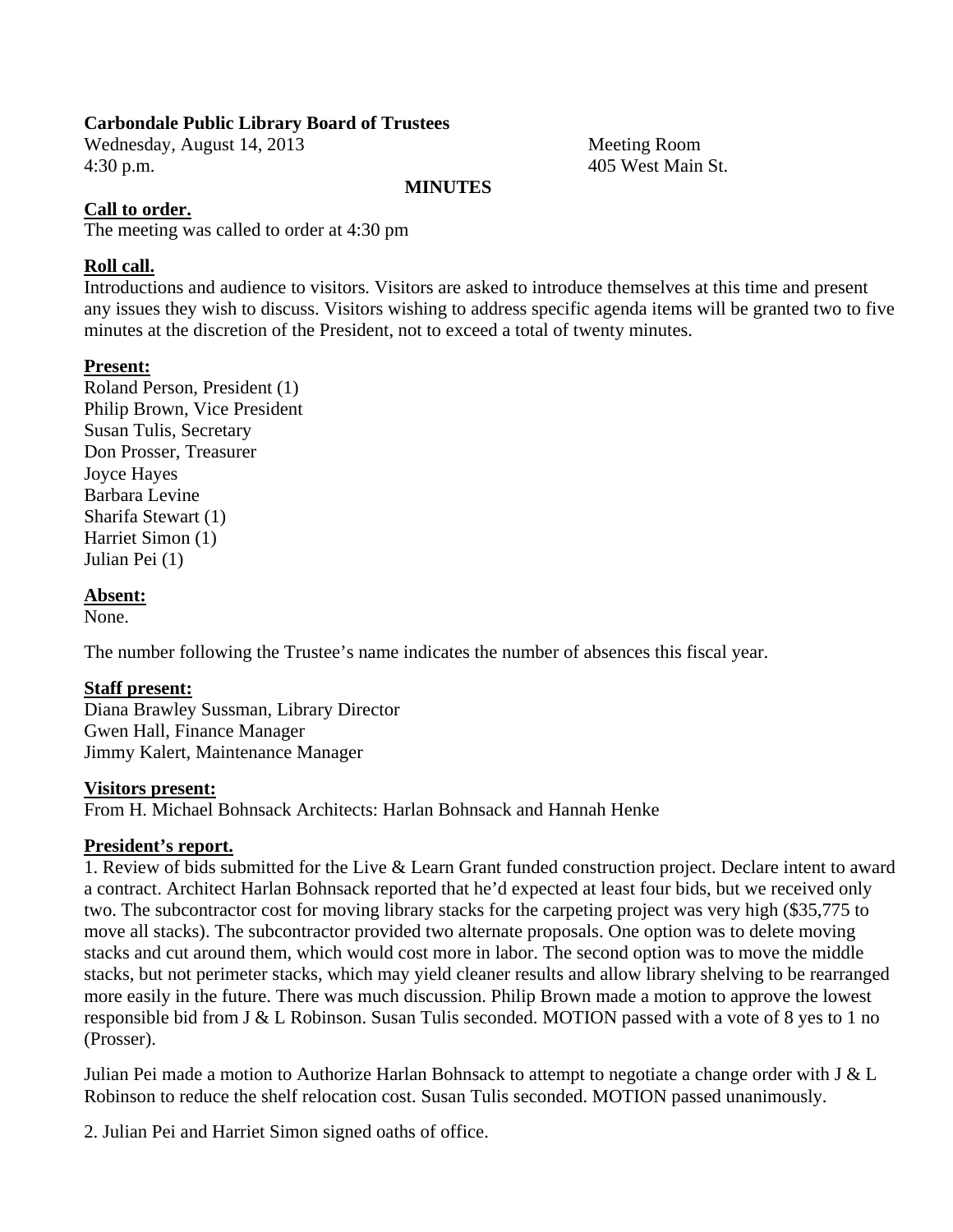#### **Carbondale Public Library Board of Trustees**

Wednesday, August 14, 2013 Meeting Room 4:30 p.m. 405 West Main St.

#### **MINUTES**

#### **Call to order.**

The meeting was called to order at 4:30 pm

#### **Roll call.**

Introductions and audience to visitors. Visitors are asked to introduce themselves at this time and present any issues they wish to discuss. Visitors wishing to address specific agenda items will be granted two to five minutes at the discretion of the President, not to exceed a total of twenty minutes.

#### **Present:**

Roland Person, President (1) Philip Brown, Vice President Susan Tulis, Secretary Don Prosser, Treasurer Joyce Hayes Barbara Levine Sharifa Stewart (1) Harriet Simon (1) Julian Pei (1)

#### **Absent:**

None.

The number following the Trustee's name indicates the number of absences this fiscal year.

#### **Staff present:**

Diana Brawley Sussman, Library Director Gwen Hall, Finance Manager Jimmy Kalert, Maintenance Manager

#### **Visitors present:**

From H. Michael Bohnsack Architects: Harlan Bohnsack and Hannah Henke

## **President's report.**

1. Review of bids submitted for the Live & Learn Grant funded construction project. Declare intent to award a contract. Architect Harlan Bohnsack reported that he'd expected at least four bids, but we received only two. The subcontractor cost for moving library stacks for the carpeting project was very high (\$35,775 to move all stacks). The subcontractor provided two alternate proposals. One option was to delete moving stacks and cut around them, which would cost more in labor. The second option was to move the middle stacks, but not perimeter stacks, which may yield cleaner results and allow library shelving to be rearranged more easily in the future. There was much discussion. Philip Brown made a motion to approve the lowest responsible bid from J & L Robinson. Susan Tulis seconded. MOTION passed with a vote of 8 yes to 1 no (Prosser).

Julian Pei made a motion to Authorize Harlan Bohnsack to attempt to negotiate a change order with J & L Robinson to reduce the shelf relocation cost. Susan Tulis seconded. MOTION passed unanimously.

2. Julian Pei and Harriet Simon signed oaths of office.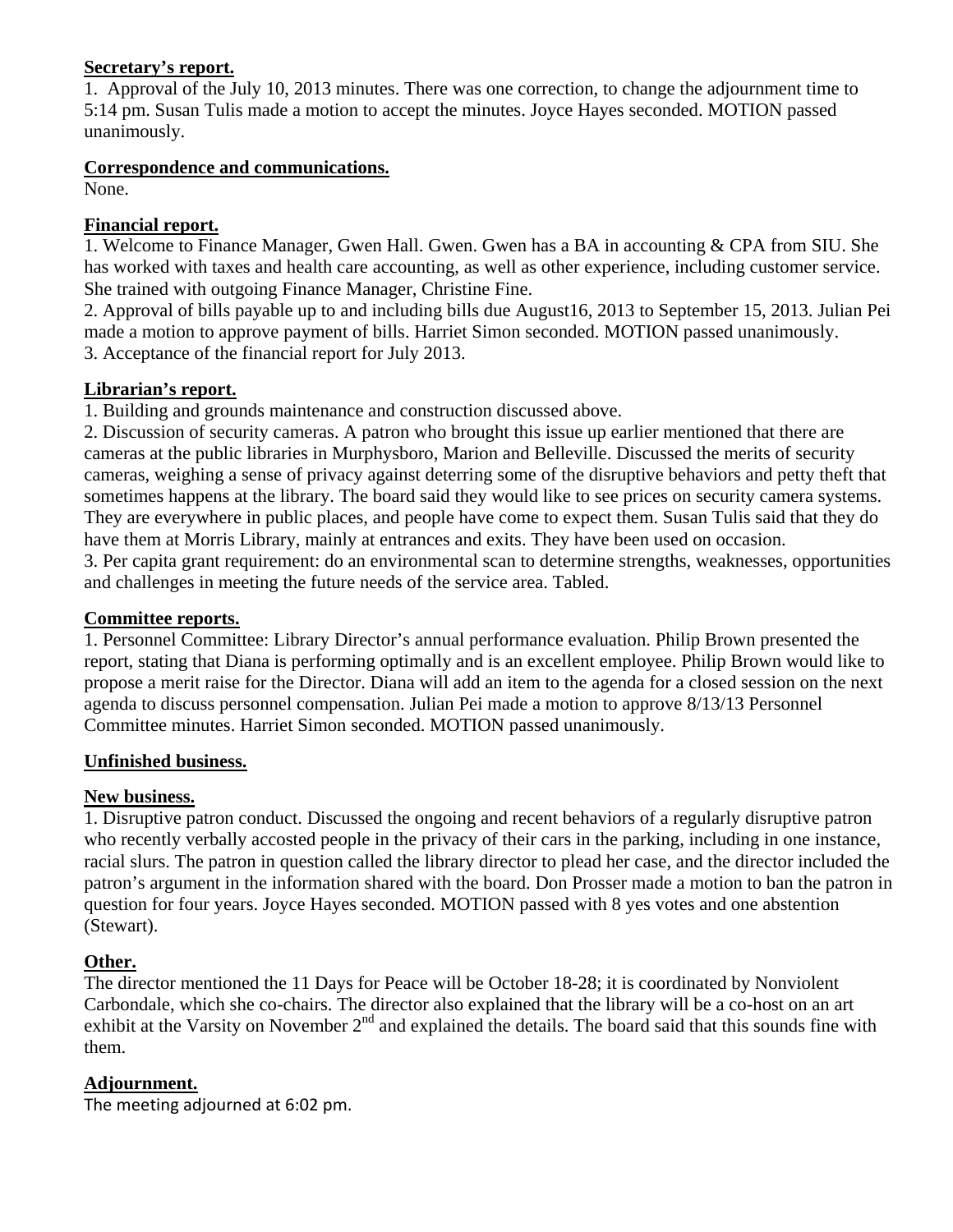#### **Secretary's report.**

1. Approval of the July 10, 2013 minutes. There was one correction, to change the adjournment time to 5:14 pm. Susan Tulis made a motion to accept the minutes. Joyce Hayes seconded. MOTION passed unanimously.

#### **Correspondence and communications.**

None.

#### **Financial report.**

1. Welcome to Finance Manager, Gwen Hall. Gwen. Gwen has a BA in accounting & CPA from SIU. She has worked with taxes and health care accounting, as well as other experience, including customer service. She trained with outgoing Finance Manager, Christine Fine.

2. Approval of bills payable up to and including bills due August16, 2013 to September 15, 2013. Julian Pei made a motion to approve payment of bills. Harriet Simon seconded. MOTION passed unanimously. 3. Acceptance of the financial report for July 2013.

#### **Librarian's report.**

1. Building and grounds maintenance and construction discussed above.

2. Discussion of security cameras. A patron who brought this issue up earlier mentioned that there are cameras at the public libraries in Murphysboro, Marion and Belleville. Discussed the merits of security cameras, weighing a sense of privacy against deterring some of the disruptive behaviors and petty theft that sometimes happens at the library. The board said they would like to see prices on security camera systems. They are everywhere in public places, and people have come to expect them. Susan Tulis said that they do have them at Morris Library, mainly at entrances and exits. They have been used on occasion. 3. Per capita grant requirement: do an environmental scan to determine strengths, weaknesses, opportunities and challenges in meeting the future needs of the service area. Tabled.

#### **Committee reports.**

1. Personnel Committee: Library Director's annual performance evaluation. Philip Brown presented the report, stating that Diana is performing optimally and is an excellent employee. Philip Brown would like to propose a merit raise for the Director. Diana will add an item to the agenda for a closed session on the next agenda to discuss personnel compensation. Julian Pei made a motion to approve 8/13/13 Personnel Committee minutes. Harriet Simon seconded. MOTION passed unanimously.

## **Unfinished business.**

## **New business.**

1. Disruptive patron conduct. Discussed the ongoing and recent behaviors of a regularly disruptive patron who recently verbally accosted people in the privacy of their cars in the parking, including in one instance, racial slurs. The patron in question called the library director to plead her case, and the director included the patron's argument in the information shared with the board. Don Prosser made a motion to ban the patron in question for four years. Joyce Hayes seconded. MOTION passed with 8 yes votes and one abstention (Stewart).

## **Other.**

The director mentioned the 11 Days for Peace will be October 18-28; it is coordinated by Nonviolent Carbondale, which she co-chairs. The director also explained that the library will be a co-host on an art exhibit at the Varsity on November 2<sup>nd</sup> and explained the details. The board said that this sounds fine with them.

## **Adjournment.**

The meeting adjourned at 6:02 pm.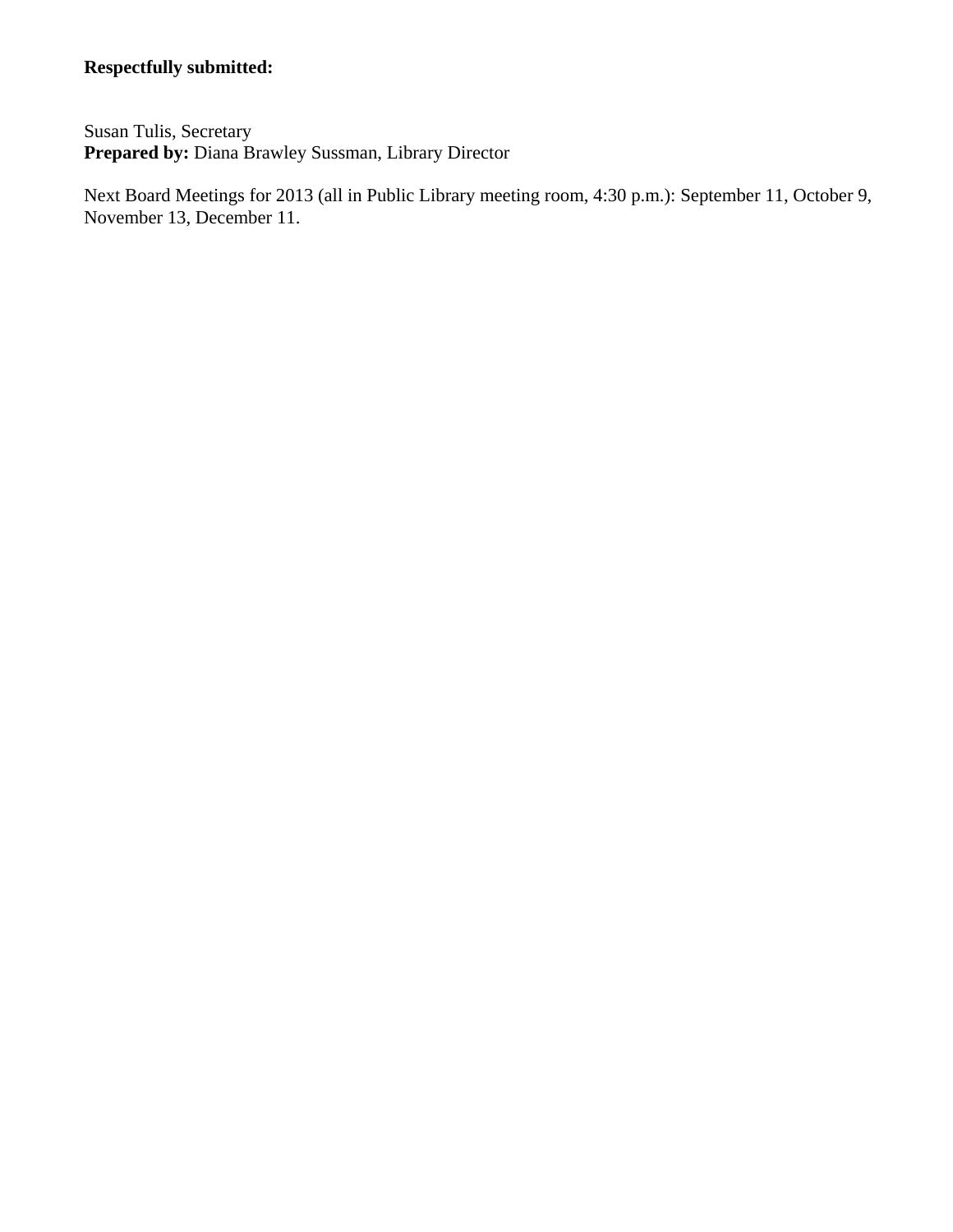# **Respectfully submitted:**

Susan Tulis, Secretary Prepared by: Diana Brawley Sussman, Library Director

Next Board Meetings for 2013 (all in Public Library meeting room, 4:30 p.m.): September 11, October 9, November 13, December 11.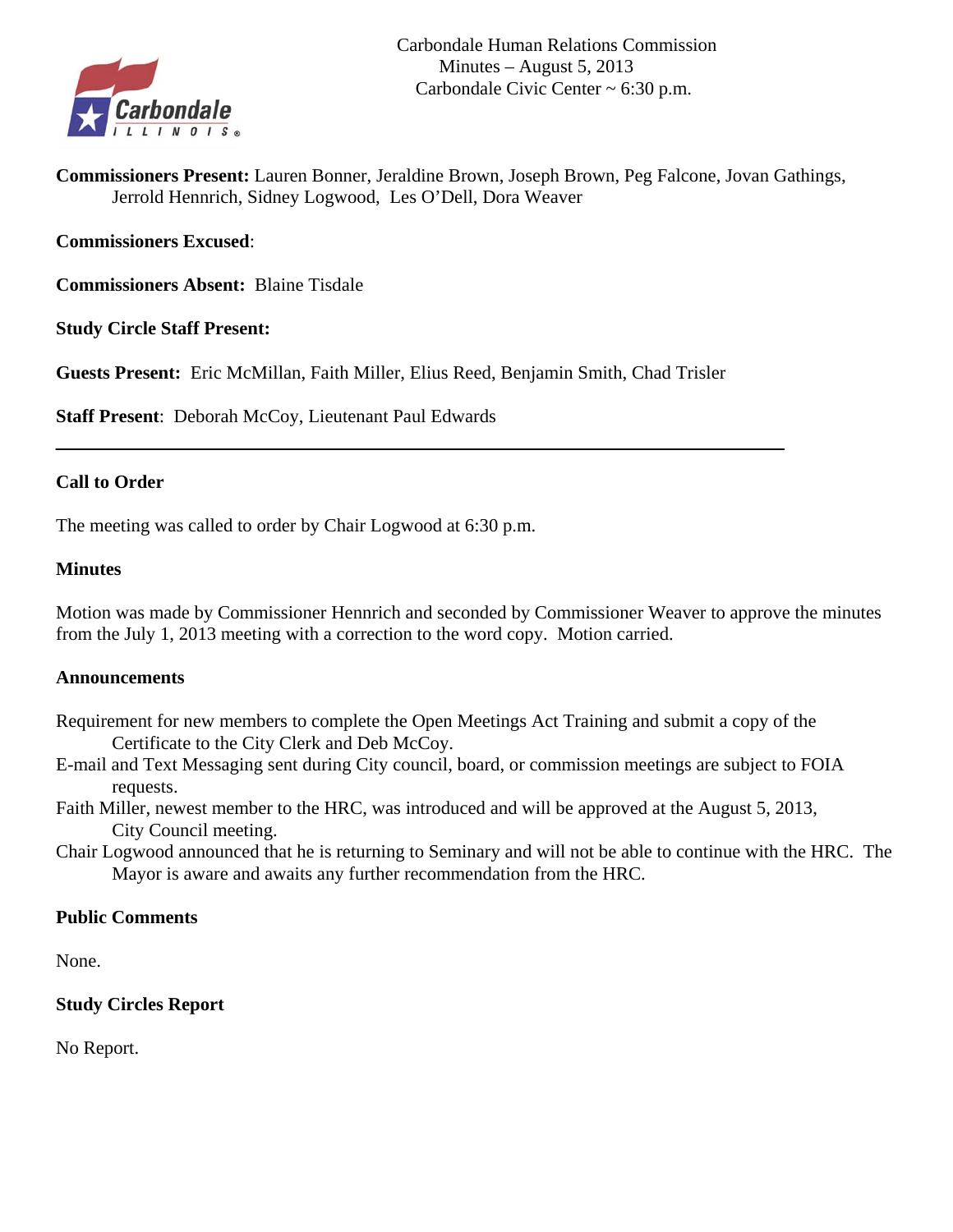

**Commissioners Present:** Lauren Bonner, Jeraldine Brown, Joseph Brown, Peg Falcone, Jovan Gathings, Jerrold Hennrich, Sidney Logwood, Les O'Dell, Dora Weaver

## **Commissioners Excused**:

**Commissioners Absent:** Blaine Tisdale

**Study Circle Staff Present:** 

**Guests Present:** Eric McMillan, Faith Miller, Elius Reed, Benjamin Smith, Chad Trisler

**Staff Present**: Deborah McCoy, Lieutenant Paul Edwards

#### **Call to Order**

The meeting was called to order by Chair Logwood at 6:30 p.m.

#### **Minutes**

Motion was made by Commissioner Hennrich and seconded by Commissioner Weaver to approve the minutes from the July 1, 2013 meeting with a correction to the word copy. Motion carried.

#### **Announcements**

- Requirement for new members to complete the Open Meetings Act Training and submit a copy of the Certificate to the City Clerk and Deb McCoy.
- E-mail and Text Messaging sent during City council, board, or commission meetings are subject to FOIA requests.
- Faith Miller, newest member to the HRC, was introduced and will be approved at the August 5, 2013, City Council meeting.
- Chair Logwood announced that he is returning to Seminary and will not be able to continue with the HRC. The Mayor is aware and awaits any further recommendation from the HRC.

# **Public Comments**

None.

#### **Study Circles Report**

No Report.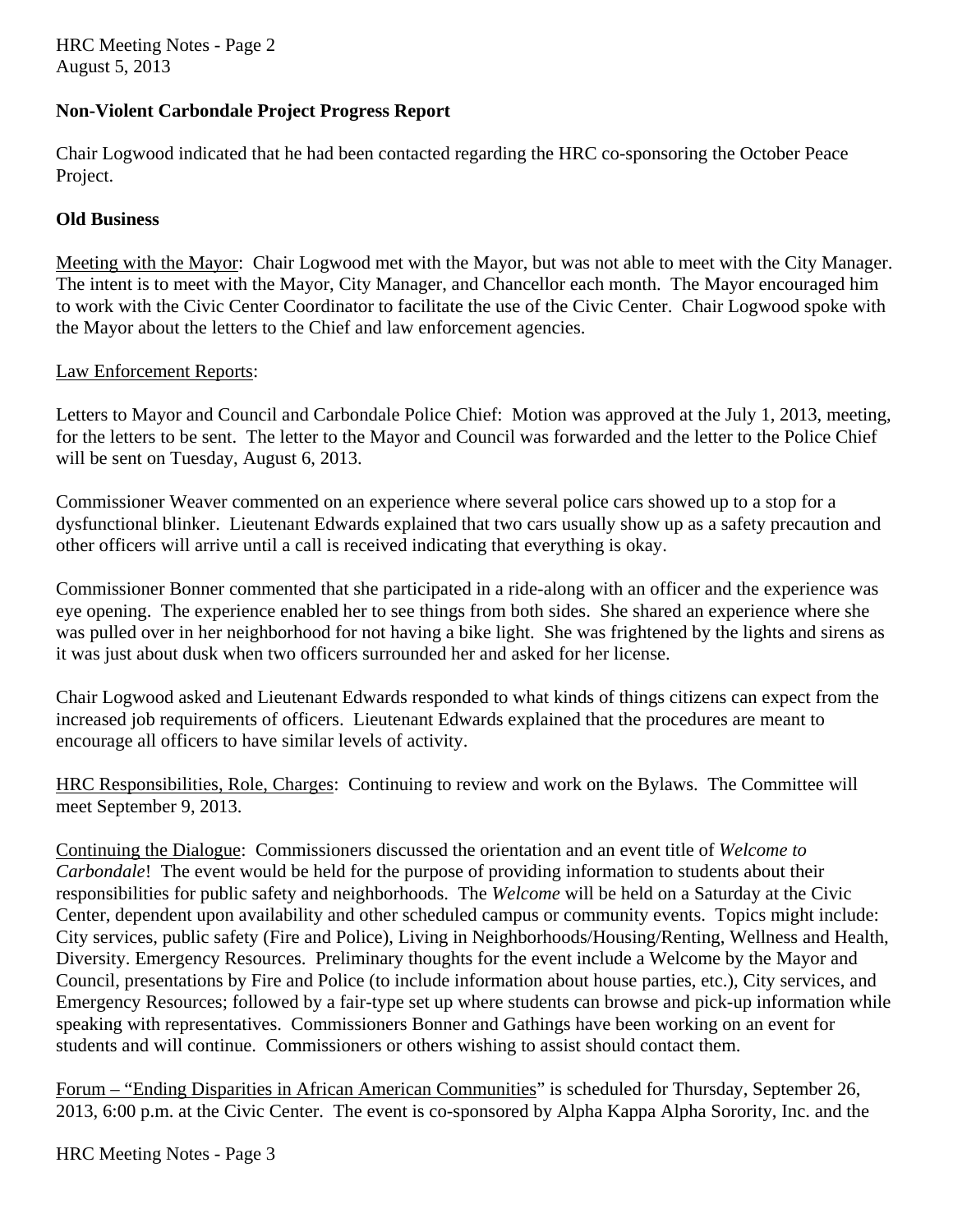HRC Meeting Notes - Page 2 August 5, 2013

#### **Non-Violent Carbondale Project Progress Report**

Chair Logwood indicated that he had been contacted regarding the HRC co-sponsoring the October Peace Project.

#### **Old Business**

Meeting with the Mayor: Chair Logwood met with the Mayor, but was not able to meet with the City Manager. The intent is to meet with the Mayor, City Manager, and Chancellor each month. The Mayor encouraged him to work with the Civic Center Coordinator to facilitate the use of the Civic Center. Chair Logwood spoke with the Mayor about the letters to the Chief and law enforcement agencies.

#### Law Enforcement Reports:

Letters to Mayor and Council and Carbondale Police Chief: Motion was approved at the July 1, 2013, meeting, for the letters to be sent. The letter to the Mayor and Council was forwarded and the letter to the Police Chief will be sent on Tuesday, August 6, 2013.

Commissioner Weaver commented on an experience where several police cars showed up to a stop for a dysfunctional blinker. Lieutenant Edwards explained that two cars usually show up as a safety precaution and other officers will arrive until a call is received indicating that everything is okay.

Commissioner Bonner commented that she participated in a ride-along with an officer and the experience was eye opening. The experience enabled her to see things from both sides. She shared an experience where she was pulled over in her neighborhood for not having a bike light. She was frightened by the lights and sirens as it was just about dusk when two officers surrounded her and asked for her license.

Chair Logwood asked and Lieutenant Edwards responded to what kinds of things citizens can expect from the increased job requirements of officers. Lieutenant Edwards explained that the procedures are meant to encourage all officers to have similar levels of activity.

HRC Responsibilities, Role, Charges: Continuing to review and work on the Bylaws. The Committee will meet September 9, 2013.

Continuing the Dialogue: Commissioners discussed the orientation and an event title of *Welcome to Carbondale*! The event would be held for the purpose of providing information to students about their responsibilities for public safety and neighborhoods. The *Welcome* will be held on a Saturday at the Civic Center, dependent upon availability and other scheduled campus or community events. Topics might include: City services, public safety (Fire and Police), Living in Neighborhoods/Housing/Renting, Wellness and Health, Diversity. Emergency Resources. Preliminary thoughts for the event include a Welcome by the Mayor and Council, presentations by Fire and Police (to include information about house parties, etc.), City services, and Emergency Resources; followed by a fair-type set up where students can browse and pick-up information while speaking with representatives. Commissioners Bonner and Gathings have been working on an event for students and will continue. Commissioners or others wishing to assist should contact them.

Forum – "Ending Disparities in African American Communities" is scheduled for Thursday, September 26, 2013, 6:00 p.m. at the Civic Center. The event is co-sponsored by Alpha Kappa Alpha Sorority, Inc. and the